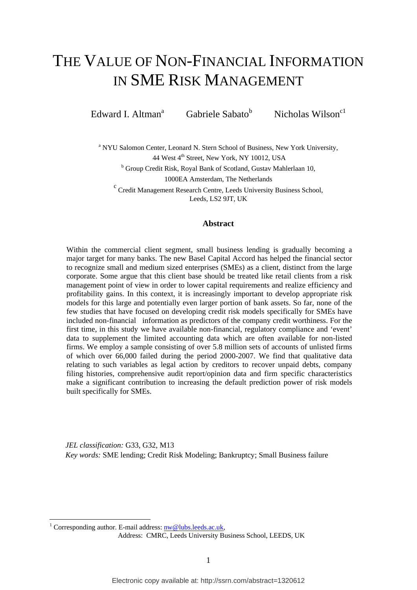# THE VALUE OF NON-FINANCIAL INFORMATION IN SME RISK MANAGEMENT

Edward I.  $\text{Altman}^a$ Gabriele Sabato<sup>b</sup> Nicholas Wilson $c<sup>1</sup>$ 

<sup>a</sup> NYU Salomon Center, Leonard N. Stern School of Business, New York University, 44 West 4<sup>th</sup> Street, New York, NY 10012, USA

<sup>b</sup> Group Credit Risk, Royal Bank of Scotland, Gustav Mahlerlaan 10,

1000EA Amsterdam, The Netherlands  $\rm ^c$  Credit Management Research Centre, Leeds University Business School, Leeds, LS2 9JT, UK

#### **Abstract**

Within the commercial client segment, small business lending is gradually becoming a major target for many banks. The new Basel Capital Accord has helped the financial sector to recognize small and medium sized enterprises (SMEs) as a client, distinct from the large corporate. Some argue that this client base should be treated like retail clients from a risk management point of view in order to lower capital requirements and realize efficiency and profitability gains. In this context, it is increasingly important to develop appropriate risk models for this large and potentially even larger portion of bank assets. So far, none of the few studies that have focused on developing credit risk models specifically for SMEs have included non-financial information as predictors of the company credit worthiness. For the first time, in this study we have available non-financial, regulatory compliance and 'event' data to supplement the limited accounting data which are often available for non-listed firms. We employ a sample consisting of over 5.8 million sets of accounts of unlisted firms of which over 66,000 failed during the period 2000-2007. We find that qualitative data relating to such variables as legal action by creditors to recover unpaid debts, company filing histories, comprehensive audit report/opinion data and firm specific characteristics make a significant contribution to increasing the default prediction power of risk models built specifically for SMEs.

*JEL classification:* G33, G32, M13 *Key words:* SME lending; Credit Risk Modeling; Bankruptcy; Small Business failure

<u>.</u> <sup>1</sup> Corresponding author. E-mail address:  $\frac{nw@llubs.}{leeds.ac.uk}$ ,

Address: CMRC, Leeds University Business School, LEEDS, UK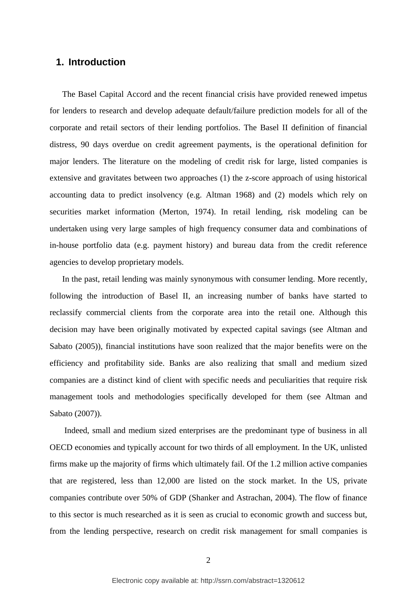# **1. Introduction**

The Basel Capital Accord and the recent financial crisis have provided renewed impetus for lenders to research and develop adequate default/failure prediction models for all of the corporate and retail sectors of their lending portfolios. The Basel II definition of financial distress, 90 days overdue on credit agreement payments, is the operational definition for major lenders. The literature on the modeling of credit risk for large, listed companies is extensive and gravitates between two approaches (1) the z-score approach of using historical accounting data to predict insolvency (e.g. Altman 1968) and (2) models which rely on securities market information (Merton, 1974). In retail lending, risk modeling can be undertaken using very large samples of high frequency consumer data and combinations of in-house portfolio data (e.g. payment history) and bureau data from the credit reference agencies to develop proprietary models.

In the past, retail lending was mainly synonymous with consumer lending. More recently, following the introduction of Basel II, an increasing number of banks have started to reclassify commercial clients from the corporate area into the retail one. Although this decision may have been originally motivated by expected capital savings (see Altman and Sabato (2005)), financial institutions have soon realized that the major benefits were on the efficiency and profitability side. Banks are also realizing that small and medium sized companies are a distinct kind of client with specific needs and peculiarities that require risk management tools and methodologies specifically developed for them (see Altman and Sabato (2007)).

 Indeed, small and medium sized enterprises are the predominant type of business in all OECD economies and typically account for two thirds of all employment. In the UK, unlisted firms make up the majority of firms which ultimately fail. Of the 1.2 million active companies that are registered, less than 12,000 are listed on the stock market. In the US, private companies contribute over 50% of GDP (Shanker and Astrachan, 2004). The flow of finance to this sector is much researched as it is seen as crucial to economic growth and success but, from the lending perspective, research on credit risk management for small companies is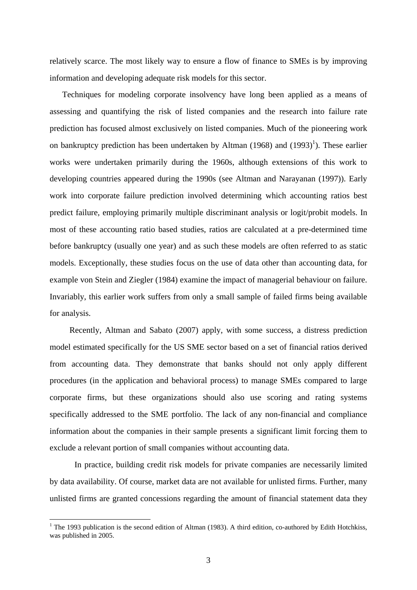relatively scarce. The most likely way to ensure a flow of finance to SMEs is by improving information and developing adequate risk models for this sector.

Techniques for modeling corporate insolvency have long been applied as a means of assessing and quantifying the risk of listed companies and the research into failure rate prediction has focused almost exclusively on listed companies. Much of the pioneering work on bankruptcy prediction has been undertaken by Altman  $(1968)$  and  $(1993)^{1}$ ). These earlier works were undertaken primarily during the 1960s, although extensions of this work to developing countries appeared during the 1990s (see Altman and Narayanan (1997)). Early work into corporate failure prediction involved determining which accounting ratios best predict failure, employing primarily multiple discriminant analysis or logit/probit models. In most of these accounting ratio based studies, ratios are calculated at a pre-determined time before bankruptcy (usually one year) and as such these models are often referred to as static models. Exceptionally, these studies focus on the use of data other than accounting data, for example von Stein and Ziegler (1984) examine the impact of managerial behaviour on failure. Invariably, this earlier work suffers from only a small sample of failed firms being available for analysis.

Recently, Altman and Sabato (2007) apply, with some success, a distress prediction model estimated specifically for the US SME sector based on a set of financial ratios derived from accounting data. They demonstrate that banks should not only apply different procedures (in the application and behavioral process) to manage SMEs compared to large corporate firms, but these organizations should also use scoring and rating systems specifically addressed to the SME portfolio. The lack of any non-financial and compliance information about the companies in their sample presents a significant limit forcing them to exclude a relevant portion of small companies without accounting data.

In practice, building credit risk models for private companies are necessarily limited by data availability. Of course, market data are not available for unlisted firms. Further, many unlisted firms are granted concessions regarding the amount of financial statement data they

<u>.</u>

<sup>&</sup>lt;sup>1</sup> The 1993 publication is the second edition of Altman (1983). A third edition, co-authored by Edith Hotchkiss, was published in 2005.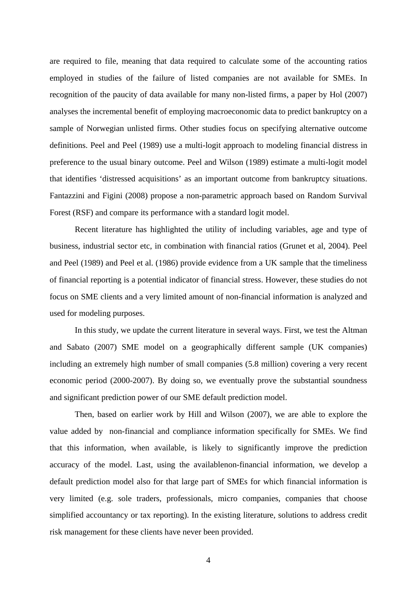are required to file, meaning that data required to calculate some of the accounting ratios employed in studies of the failure of listed companies are not available for SMEs. In recognition of the paucity of data available for many non-listed firms, a paper by Hol (2007) analyses the incremental benefit of employing macroeconomic data to predict bankruptcy on a sample of Norwegian unlisted firms. Other studies focus on specifying alternative outcome definitions. Peel and Peel (1989) use a multi-logit approach to modeling financial distress in preference to the usual binary outcome. Peel and Wilson (1989) estimate a multi-logit model that identifies 'distressed acquisitions' as an important outcome from bankruptcy situations. Fantazzini and Figini (2008) propose a non-parametric approach based on Random Survival Forest (RSF) and compare its performance with a standard logit model.

Recent literature has highlighted the utility of including variables, age and type of business, industrial sector etc, in combination with financial ratios (Grunet et al, 2004). Peel and Peel (1989) and Peel et al. (1986) provide evidence from a UK sample that the timeliness of financial reporting is a potential indicator of financial stress. However, these studies do not focus on SME clients and a very limited amount of non-financial information is analyzed and used for modeling purposes.

In this study, we update the current literature in several ways. First, we test the Altman and Sabato (2007) SME model on a geographically different sample (UK companies) including an extremely high number of small companies (5.8 million) covering a very recent economic period (2000-2007). By doing so, we eventually prove the substantial soundness and significant prediction power of our SME default prediction model.

Then, based on earlier work by Hill and Wilson (2007), we are able to explore the value added by non-financial and compliance information specifically for SMEs. We find that this information, when available, is likely to significantly improve the prediction accuracy of the model. Last, using the availablenon-financial information, we develop a default prediction model also for that large part of SMEs for which financial information is very limited (e.g. sole traders, professionals, micro companies, companies that choose simplified accountancy or tax reporting). In the existing literature, solutions to address credit risk management for these clients have never been provided.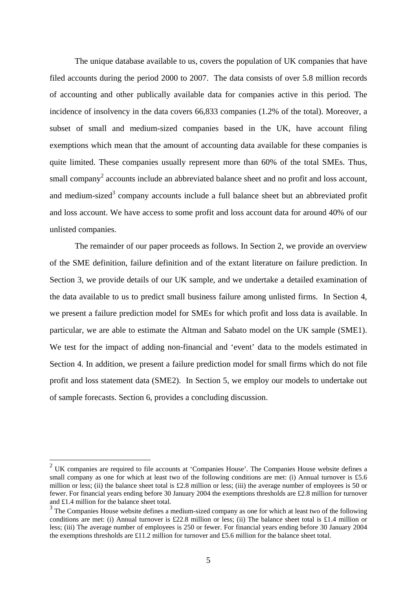The unique database available to us, covers the population of UK companies that have filed accounts during the period 2000 to 2007. The data consists of over 5.8 million records of accounting and other publically available data for companies active in this period. The incidence of insolvency in the data covers 66,833 companies (1.2% of the total). Moreover, a subset of small and medium-sized companies based in the UK, have account filing exemptions which mean that the amount of accounting data available for these companies is quite limited. These companies usually represent more than 60% of the total SMEs. Thus, small company<sup>2</sup> accounts include an abbreviated balance sheet and no profit and loss account, and medium-sized<sup>3</sup> company accounts include a full balance sheet but an abbreviated profit and loss account. We have access to some profit and loss account data for around 40% of our unlisted companies.

The remainder of our paper proceeds as follows. In Section 2, we provide an overview of the SME definition, failure definition and of the extant literature on failure prediction. In Section 3, we provide details of our UK sample, and we undertake a detailed examination of the data available to us to predict small business failure among unlisted firms. In Section 4, we present a failure prediction model for SMEs for which profit and loss data is available. In particular, we are able to estimate the Altman and Sabato model on the UK sample (SME1). We test for the impact of adding non-financial and 'event' data to the models estimated in Section 4. In addition, we present a failure prediction model for small firms which do not file profit and loss statement data (SME2). In Section 5, we employ our models to undertake out of sample forecasts. Section 6, provides a concluding discussion.

<sup>&</sup>lt;sup>2</sup> UK companies are required to file accounts at 'Companies House'. The Companies House website defines a small company as one for which at least two of the following conditions are met: (i) Annual turnover is £5.6 million or less; (ii) the balance sheet total is £2.8 million or less; (iii) the average number of employees is 50 or fewer. For financial years ending before 30 January 2004 the exemptions thresholds are £2.8 million for turnover and £1.4 million for the balance sheet total.

 $3$  The Companies House website defines a medium-sized company as one for which at least two of the following conditions are met: (i) Annual turnover is £22.8 million or less; (ii) The balance sheet total is £1.4 million or less; (iii) The average number of employees is 250 or fewer. For financial years ending before 30 January 2004 the exemptions thresholds are £11.2 million for turnover and £5.6 million for the balance sheet total.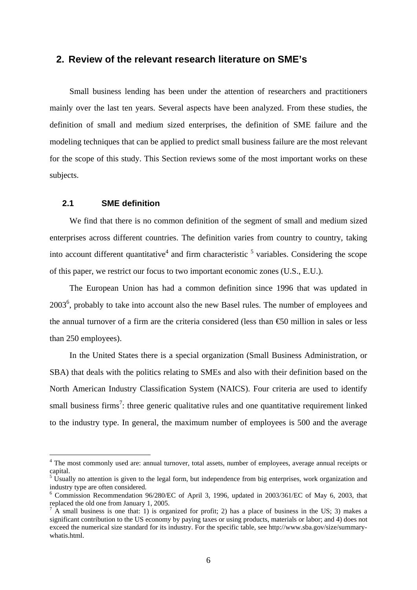# **2. Review of the relevant research literature on SME's**

Small business lending has been under the attention of researchers and practitioners mainly over the last ten years. Several aspects have been analyzed. From these studies, the definition of small and medium sized enterprises, the definition of SME failure and the modeling techniques that can be applied to predict small business failure are the most relevant for the scope of this study. This Section reviews some of the most important works on these subjects.

#### **2.1 SME definition**

1

We find that there is no common definition of the segment of small and medium sized enterprises across different countries. The definition varies from country to country, taking into account different quantitative<sup>4</sup> and firm characteristic  $<sup>5</sup>$  variables. Considering the scope</sup> of this paper, we restrict our focus to two important economic zones (U.S., E.U.).

The European Union has had a common definition since 1996 that was updated in 2003<sup>6</sup>, probably to take into account also the new Basel rules. The number of employees and the annual turnover of a firm are the criteria considered (less than  $\epsilon$  = 50 million in sales or less than 250 employees).

In the United States there is a special organization (Small Business Administration, or SBA) that deals with the politics relating to SMEs and also with their definition based on the North American Industry Classification System (NAICS). Four criteria are used to identify small business firms<sup>7</sup>: three generic qualitative rules and one quantitative requirement linked to the industry type. In general, the maximum number of employees is 500 and the average

<sup>&</sup>lt;sup>4</sup> The most commonly used are: annual turnover, total assets, number of employees, average annual receipts or capital.

 $5 \text{ Usually}$  no attention is given to the legal form, but independence from big enterprises, work organization and industry type are often considered.

<sup>&</sup>lt;sup>6</sup> Commission Recommendation 96/280/EC of April 3, 1996, updated in 2003/361/EC of May 6, 2003, that replaced the old one from January 1, 2005.

 $^7$  A small business is one that: 1) is organized for profit; 2) has a place of business in the US; 3) makes a significant contribution to the US economy by paying taxes or using products, materials or labor; and 4) does not exceed the numerical size standard for its industry. For the specific table, see http://www.sba.gov/size/summarywhatis.html.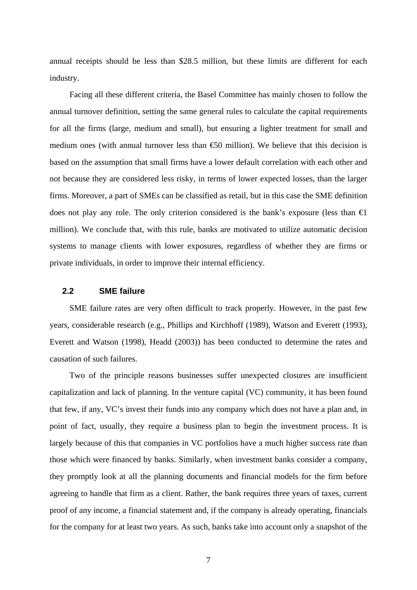annual receipts should be less than \$28.5 million, but these limits are different for each industry.

Facing all these different criteria, the Basel Committee has mainly chosen to follow the annual turnover definition, setting the same general rules to calculate the capital requirements for all the firms (large, medium and small), but ensuring a lighter treatment for small and medium ones (with annual turnover less than  $\epsilon$ 50 million). We believe that this decision is based on the assumption that small firms have a lower default correlation with each other and not because they are considered less risky, in terms of lower expected losses, than the larger firms. Moreover, a part of SMEs can be classified as retail, but in this case the SME definition does not play any role. The only criterion considered is the bank's exposure (less than  $\oplus$ million). We conclude that, with this rule, banks are motivated to utilize automatic decision systems to manage clients with lower exposures, regardless of whether they are firms or private individuals, in order to improve their internal efficiency.

#### **2.2 SME failure**

SME failure rates are very often difficult to track properly. However, in the past few years, considerable research (e.g., Phillips and Kirchhoff (1989), Watson and Everett (1993), Everett and Watson (1998), Headd (2003)) has been conducted to determine the rates and causation of such failures.

Two of the principle reasons businesses suffer unexpected closures are insufficient capitalization and lack of planning. In the venture capital (VC) community, it has been found that few, if any, VC's invest their funds into any company which does not have a plan and, in point of fact, usually, they require a business plan to begin the investment process. It is largely because of this that companies in VC portfolios have a much higher success rate than those which were financed by banks. Similarly, when investment banks consider a company, they promptly look at all the planning documents and financial models for the firm before agreeing to handle that firm as a client. Rather, the bank requires three years of taxes, current proof of any income, a financial statement and, if the company is already operating, financials for the company for at least two years. As such, banks take into account only a snapshot of the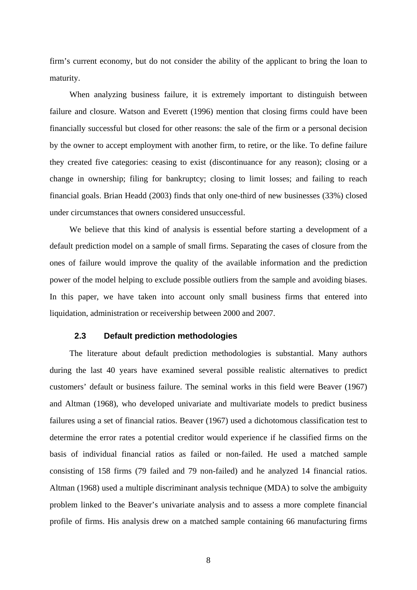firm's current economy, but do not consider the ability of the applicant to bring the loan to maturity.

When analyzing business failure, it is extremely important to distinguish between failure and closure. Watson and Everett (1996) mention that closing firms could have been financially successful but closed for other reasons: the sale of the firm or a personal decision by the owner to accept employment with another firm, to retire, or the like. To define failure they created five categories: ceasing to exist (discontinuance for any reason); closing or a change in ownership; filing for bankruptcy; closing to limit losses; and failing to reach financial goals. Brian Headd (2003) finds that only one-third of new businesses (33%) closed under circumstances that owners considered unsuccessful.

We believe that this kind of analysis is essential before starting a development of a default prediction model on a sample of small firms. Separating the cases of closure from the ones of failure would improve the quality of the available information and the prediction power of the model helping to exclude possible outliers from the sample and avoiding biases. In this paper, we have taken into account only small business firms that entered into liquidation, administration or receivership between 2000 and 2007.

### **2.3 Default prediction methodologies**

The literature about default prediction methodologies is substantial. Many authors during the last 40 years have examined several possible realistic alternatives to predict customers' default or business failure. The seminal works in this field were Beaver (1967) and Altman (1968), who developed univariate and multivariate models to predict business failures using a set of financial ratios. Beaver (1967) used a dichotomous classification test to determine the error rates a potential creditor would experience if he classified firms on the basis of individual financial ratios as failed or non-failed. He used a matched sample consisting of 158 firms (79 failed and 79 non-failed) and he analyzed 14 financial ratios. Altman (1968) used a multiple discriminant analysis technique (MDA) to solve the ambiguity problem linked to the Beaver's univariate analysis and to assess a more complete financial profile of firms. His analysis drew on a matched sample containing 66 manufacturing firms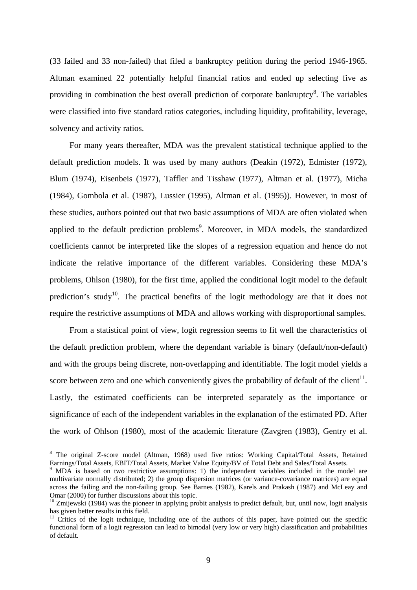(33 failed and 33 non-failed) that filed a bankruptcy petition during the period 1946-1965. Altman examined 22 potentially helpful financial ratios and ended up selecting five as providing in combination the best overall prediction of corporate bankruptcy<sup>8</sup>. The variables were classified into five standard ratios categories, including liquidity, profitability, leverage, solvency and activity ratios.

For many years thereafter, MDA was the prevalent statistical technique applied to the default prediction models. It was used by many authors (Deakin (1972), Edmister (1972), Blum (1974), Eisenbeis (1977), Taffler and Tisshaw (1977), Altman et al. (1977), Micha (1984), Gombola et al. (1987), Lussier (1995), Altman et al. (1995)). However, in most of these studies, authors pointed out that two basic assumptions of MDA are often violated when applied to the default prediction problems<sup>9</sup>. Moreover, in MDA models, the standardized coefficients cannot be interpreted like the slopes of a regression equation and hence do not indicate the relative importance of the different variables. Considering these MDA's problems, Ohlson (1980), for the first time, applied the conditional logit model to the default prediction's study<sup>10</sup>. The practical benefits of the logit methodology are that it does not require the restrictive assumptions of MDA and allows working with disproportional samples.

From a statistical point of view, logit regression seems to fit well the characteristics of the default prediction problem, where the dependant variable is binary (default/non-default) and with the groups being discrete, non-overlapping and identifiable. The logit model yields a score between zero and one which conveniently gives the probability of default of the client<sup>11</sup>. Lastly, the estimated coefficients can be interpreted separately as the importance or significance of each of the independent variables in the explanation of the estimated PD. After the work of Ohlson (1980), most of the academic literature (Zavgren (1983), Gentry et al.

<sup>&</sup>lt;sup>8</sup> The original Z-score model (Altman, 1968) used five ratios: Working Capital/Total Assets, Retained Earnings/Total Assets, EBIT/Total Assets, Market Value Equity/BV of Total Debt and Sales/Total Assets. 9

<sup>&</sup>lt;sup>9</sup> MDA is based on two restrictive assumptions: 1) the independent variables included in the model are multivariate normally distributed; 2) the group dispersion matrices (or variance-covariance matrices) are equal across the failing and the non-failing group. See Barnes (1982), Karels and Prakash (1987) and McLeay and Omar (2000) for further discussions about this topic.

 $10$  Zmijewski (1984) was the pioneer in applying probit analysis to predict default, but, until now, logit analysis has given better results in this field.

 $11$  Critics of the logit technique, including one of the authors of this paper, have pointed out the specific functional form of a logit regression can lead to bimodal (very low or very high) classification and probabilities of default.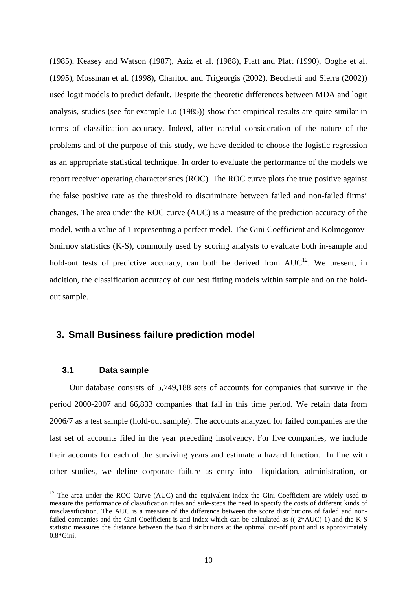(1985), Keasey and Watson (1987), Aziz et al. (1988), Platt and Platt (1990), Ooghe et al. (1995), Mossman et al. (1998), Charitou and Trigeorgis (2002), Becchetti and Sierra (2002)) used logit models to predict default. Despite the theoretic differences between MDA and logit analysis, studies (see for example Lo (1985)) show that empirical results are quite similar in terms of classification accuracy. Indeed, after careful consideration of the nature of the problems and of the purpose of this study, we have decided to choose the logistic regression as an appropriate statistical technique. In order to evaluate the performance of the models we report receiver operating characteristics (ROC). The ROC curve plots the true positive against the false positive rate as the threshold to discriminate between failed and non-failed firms' changes. The area under the ROC curve (AUC) is a measure of the prediction accuracy of the model, with a value of 1 representing a perfect model. The Gini Coefficient and Kolmogorov-Smirnov statistics (K-S), commonly used by scoring analysts to evaluate both in-sample and hold-out tests of predictive accuracy, can both be derived from  $AUC^{12}$ . We present, in addition, the classification accuracy of our best fitting models within sample and on the holdout sample.

# **3. Small Business failure prediction model**

#### **3.1 Data sample**

1

Our database consists of 5,749,188 sets of accounts for companies that survive in the period 2000-2007 and 66,833 companies that fail in this time period. We retain data from 2006/7 as a test sample (hold-out sample). The accounts analyzed for failed companies are the last set of accounts filed in the year preceding insolvency. For live companies, we include their accounts for each of the surviving years and estimate a hazard function. In line with other studies, we define corporate failure as entry into liquidation, administration, or

 $12$  The area under the ROC Curve (AUC) and the equivalent index the Gini Coefficient are widely used to measure the performance of classification rules and side-steps the need to specify the costs of different kinds of misclassification. The AUC is a measure of the difference between the score distributions of failed and nonfailed companies and the Gini Coefficient is and index which can be calculated as (( 2\*AUC)-1) and the K-S statistic measures the distance between the two distributions at the optimal cut-off point and is approximately 0.8\*Gini.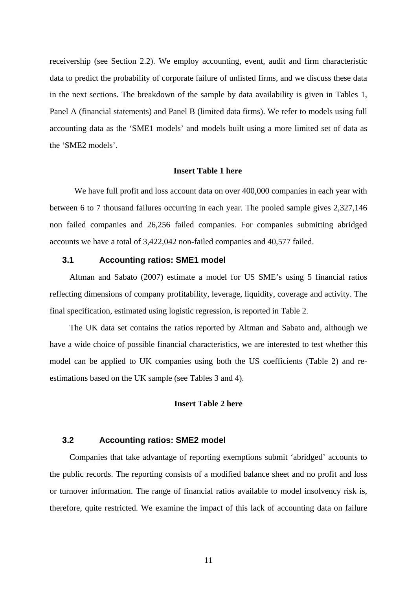receivership (see Section 2.2). We employ accounting, event, audit and firm characteristic data to predict the probability of corporate failure of unlisted firms, and we discuss these data in the next sections. The breakdown of the sample by data availability is given in Tables 1, Panel A (financial statements) and Panel B (limited data firms). We refer to models using full accounting data as the 'SME1 models' and models built using a more limited set of data as the 'SME2 models'.

#### **Insert Table 1 here**

 We have full profit and loss account data on over 400,000 companies in each year with between 6 to 7 thousand failures occurring in each year. The pooled sample gives 2,327,146 non failed companies and 26,256 failed companies. For companies submitting abridged accounts we have a total of 3,422,042 non-failed companies and 40,577 failed.

#### **3.1 Accounting ratios: SME1 model**

Altman and Sabato (2007) estimate a model for US SME's using 5 financial ratios reflecting dimensions of company profitability, leverage, liquidity, coverage and activity. The final specification, estimated using logistic regression, is reported in Table 2.

The UK data set contains the ratios reported by Altman and Sabato and, although we have a wide choice of possible financial characteristics, we are interested to test whether this model can be applied to UK companies using both the US coefficients (Table 2) and reestimations based on the UK sample (see Tables 3 and 4).

#### **Insert Table 2 here**

#### **3.2 Accounting ratios: SME2 model**

Companies that take advantage of reporting exemptions submit 'abridged' accounts to the public records. The reporting consists of a modified balance sheet and no profit and loss or turnover information. The range of financial ratios available to model insolvency risk is, therefore, quite restricted. We examine the impact of this lack of accounting data on failure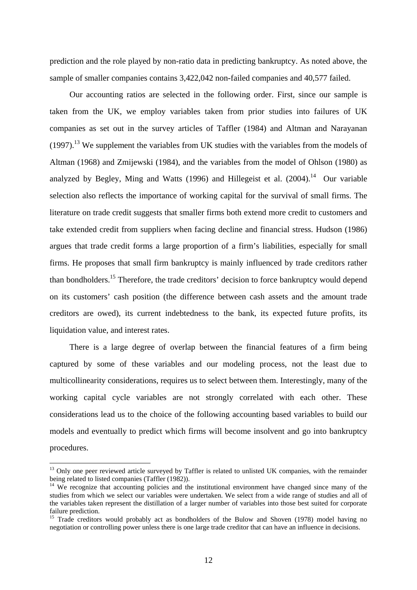prediction and the role played by non-ratio data in predicting bankruptcy. As noted above, the sample of smaller companies contains 3,422,042 non-failed companies and 40,577 failed.

Our accounting ratios are selected in the following order. First, since our sample is taken from the UK, we employ variables taken from prior studies into failures of UK companies as set out in the survey articles of Taffler (1984) and Altman and Narayanan  $(1997).$ <sup>13</sup> We supplement the variables from UK studies with the variables from the models of Altman (1968) and Zmijewski (1984), and the variables from the model of Ohlson (1980) as analyzed by Begley, Ming and Watts (1996) and Hillegeist et al.  $(2004).<sup>14</sup>$  Our variable selection also reflects the importance of working capital for the survival of small firms. The literature on trade credit suggests that smaller firms both extend more credit to customers and take extended credit from suppliers when facing decline and financial stress. Hudson (1986) argues that trade credit forms a large proportion of a firm's liabilities, especially for small firms. He proposes that small firm bankruptcy is mainly influenced by trade creditors rather than bondholders.15 Therefore, the trade creditors' decision to force bankruptcy would depend on its customers' cash position (the difference between cash assets and the amount trade creditors are owed), its current indebtedness to the bank, its expected future profits, its liquidation value, and interest rates.

There is a large degree of overlap between the financial features of a firm being captured by some of these variables and our modeling process, not the least due to multicollinearity considerations, requires us to select between them. Interestingly, many of the working capital cycle variables are not strongly correlated with each other. These considerations lead us to the choice of the following accounting based variables to build our models and eventually to predict which firms will become insolvent and go into bankruptcy procedures.

1

<sup>&</sup>lt;sup>13</sup> Only one peer reviewed article surveyed by Taffler is related to unlisted UK companies, with the remainder being related to listed companies (Taffler (1982)).

<sup>&</sup>lt;sup>14</sup> We recognize that accounting policies and the institutional environment have changed since many of the studies from which we select our variables were undertaken. We select from a wide range of studies and all of the variables taken represent the distillation of a larger number of variables into those best suited for corporate failure prediction.

<sup>&</sup>lt;sup>15</sup> Trade creditors would probably act as bondholders of the Bulow and Shoven (1978) model having no negotiation or controlling power unless there is one large trade creditor that can have an influence in decisions.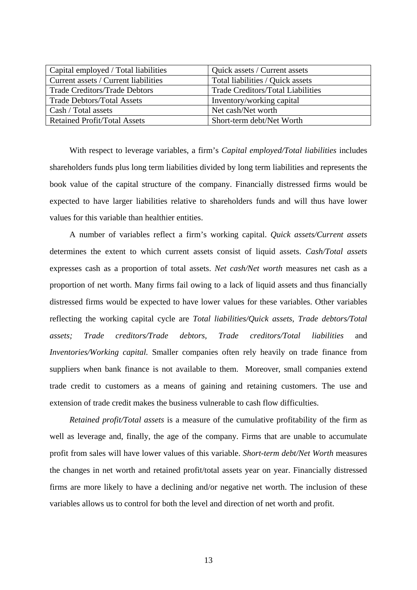| Capital employed / Total liabilities | Quick assets / Current assets     |
|--------------------------------------|-----------------------------------|
| Current assets / Current liabilities | Total liabilities / Quick assets  |
| <b>Trade Creditors/Trade Debtors</b> | Trade Creditors/Total Liabilities |
| <b>Trade Debtors/Total Assets</b>    | Inventory/working capital         |
| Cash / Total assets                  | Net cash/Net worth                |
| <b>Retained Profit/Total Assets</b>  | Short-term debt/Net Worth         |

With respect to leverage variables, a firm's *Capital employed/Total liabilities* includes shareholders funds plus long term liabilities divided by long term liabilities and represents the book value of the capital structure of the company. Financially distressed firms would be expected to have larger liabilities relative to shareholders funds and will thus have lower values for this variable than healthier entities.

A number of variables reflect a firm's working capital. *Quick assets/Current assets*  determines the extent to which current assets consist of liquid assets. *Cash/Total assets* expresses cash as a proportion of total assets. *Net cash/Net worth* measures net cash as a proportion of net worth. Many firms fail owing to a lack of liquid assets and thus financially distressed firms would be expected to have lower values for these variables. Other variables reflecting the working capital cycle are *Total liabilities/Quick assets*, *Trade debtors/Total assets; Trade creditors/Trade debtors, Trade creditors/Total liabilities* and *Inventories/Working capital.* Smaller companies often rely heavily on trade finance from suppliers when bank finance is not available to them. Moreover, small companies extend trade credit to customers as a means of gaining and retaining customers. The use and extension of trade credit makes the business vulnerable to cash flow difficulties.

*Retained profit/Total assets* is a measure of the cumulative profitability of the firm as well as leverage and, finally, the age of the company. Firms that are unable to accumulate profit from sales will have lower values of this variable. *Short-term debt/Net Worth* measures the changes in net worth and retained profit/total assets year on year. Financially distressed firms are more likely to have a declining and/or negative net worth. The inclusion of these variables allows us to control for both the level and direction of net worth and profit.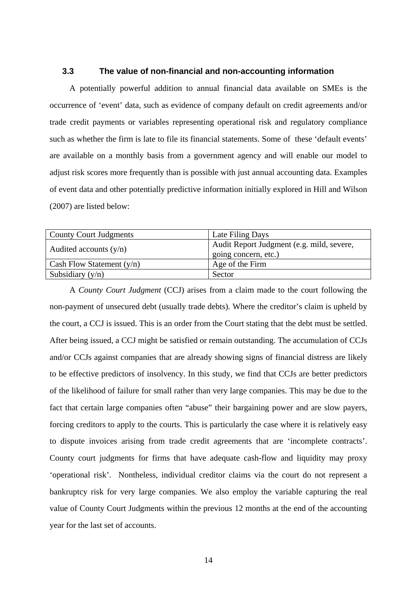#### **3.3 The value of non-financial and non-accounting information**

A potentially powerful addition to annual financial data available on SMEs is the occurrence of 'event' data, such as evidence of company default on credit agreements and/or trade credit payments or variables representing operational risk and regulatory compliance such as whether the firm is late to file its financial statements. Some of these 'default events' are available on a monthly basis from a government agency and will enable our model to adjust risk scores more frequently than is possible with just annual accounting data. Examples of event data and other potentially predictive information initially explored in Hill and Wilson (2007) are listed below:

| <b>County Court Judgments</b> | Late Filing Days                                                  |
|-------------------------------|-------------------------------------------------------------------|
| Audited accounts $(y/n)$      | Audit Report Judgment (e.g. mild, severe,<br>going concern, etc.) |
| Cash Flow Statement $(y/n)$   | Age of the Firm                                                   |
| Subsidiary $(y/n)$            | Sector                                                            |

A *County Court Judgment* (CCJ) arises from a claim made to the court following the non-payment of unsecured debt (usually trade debts). Where the creditor's claim is upheld by the court, a CCJ is issued. This is an order from the Court stating that the debt must be settled. After being issued, a CCJ might be satisfied or remain outstanding. The accumulation of CCJs and/or CCJs against companies that are already showing signs of financial distress are likely to be effective predictors of insolvency. In this study, we find that CCJs are better predictors of the likelihood of failure for small rather than very large companies. This may be due to the fact that certain large companies often "abuse" their bargaining power and are slow payers, forcing creditors to apply to the courts. This is particularly the case where it is relatively easy to dispute invoices arising from trade credit agreements that are 'incomplete contracts'. County court judgments for firms that have adequate cash-flow and liquidity may proxy 'operational risk'. Nontheless, individual creditor claims via the court do not represent a bankruptcy risk for very large companies. We also employ the variable capturing the real value of County Court Judgments within the previous 12 months at the end of the accounting year for the last set of accounts.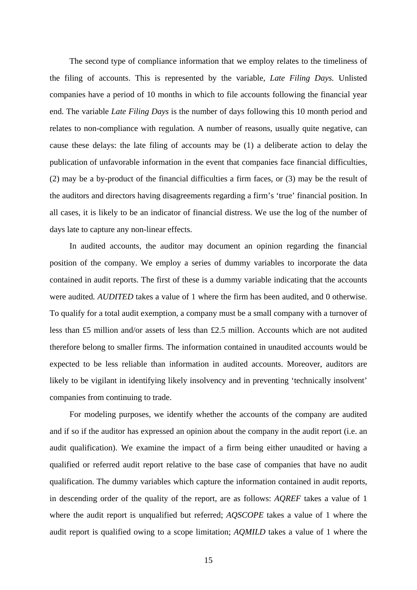The second type of compliance information that we employ relates to the timeliness of the filing of accounts. This is represented by the variable, *Late Filing Days.* Unlisted companies have a period of 10 months in which to file accounts following the financial year end. The variable *Late Filing Days* is the number of days following this 10 month period and relates to non-compliance with regulation. A number of reasons, usually quite negative, can cause these delays: the late filing of accounts may be (1) a deliberate action to delay the publication of unfavorable information in the event that companies face financial difficulties, (2) may be a by-product of the financial difficulties a firm faces, or (3) may be the result of the auditors and directors having disagreements regarding a firm's 'true' financial position. In all cases, it is likely to be an indicator of financial distress. We use the log of the number of days late to capture any non-linear effects.

In audited accounts, the auditor may document an opinion regarding the financial position of the company. We employ a series of dummy variables to incorporate the data contained in audit reports. The first of these is a dummy variable indicating that the accounts were audited*. AUDITED* takes a value of 1 where the firm has been audited, and 0 otherwise. To qualify for a total audit exemption, a company must be a small company with a turnover of less than £5 million and/or assets of less than £2.5 million. Accounts which are not audited therefore belong to smaller firms. The information contained in unaudited accounts would be expected to be less reliable than information in audited accounts. Moreover, auditors are likely to be vigilant in identifying likely insolvency and in preventing 'technically insolvent' companies from continuing to trade.

For modeling purposes, we identify whether the accounts of the company are audited and if so if the auditor has expressed an opinion about the company in the audit report (i.e. an audit qualification). We examine the impact of a firm being either unaudited or having a qualified or referred audit report relative to the base case of companies that have no audit qualification. The dummy variables which capture the information contained in audit reports, in descending order of the quality of the report, are as follows: *AQREF* takes a value of 1 where the audit report is unqualified but referred; *AQSCOPE* takes a value of 1 where the audit report is qualified owing to a scope limitation; *AQMILD* takes a value of 1 where the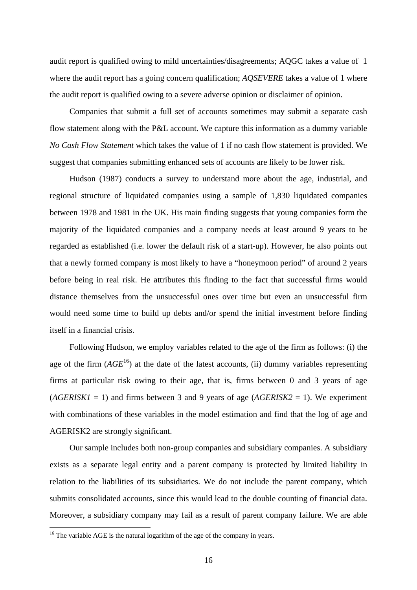audit report is qualified owing to mild uncertainties/disagreements; AQGC takes a value of 1 where the audit report has a going concern qualification; *AQSEVERE* takes a value of 1 where the audit report is qualified owing to a severe adverse opinion or disclaimer of opinion.

Companies that submit a full set of accounts sometimes may submit a separate cash flow statement along with the P&L account. We capture this information as a dummy variable *No Cash Flow Statement* which takes the value of 1 if no cash flow statement is provided. We suggest that companies submitting enhanced sets of accounts are likely to be lower risk.

Hudson (1987) conducts a survey to understand more about the age, industrial, and regional structure of liquidated companies using a sample of 1,830 liquidated companies between 1978 and 1981 in the UK. His main finding suggests that young companies form the majority of the liquidated companies and a company needs at least around 9 years to be regarded as established (i.e. lower the default risk of a start-up). However, he also points out that a newly formed company is most likely to have a "honeymoon period" of around 2 years before being in real risk. He attributes this finding to the fact that successful firms would distance themselves from the unsuccessful ones over time but even an unsuccessful firm would need some time to build up debts and/or spend the initial investment before finding itself in a financial crisis.

Following Hudson, we employ variables related to the age of the firm as follows: (i) the age of the firm  $(AGE^{16})$  at the date of the latest accounts, (ii) dummy variables representing firms at particular risk owing to their age, that is, firms between 0 and 3 years of age  $(AGERISKI = 1)$  and firms between 3 and 9 years of age  $(AGERISK2 = 1)$ . We experiment with combinations of these variables in the model estimation and find that the log of age and AGERISK2 are strongly significant.

Our sample includes both non-group companies and subsidiary companies. A subsidiary exists as a separate legal entity and a parent company is protected by limited liability in relation to the liabilities of its subsidiaries. We do not include the parent company, which submits consolidated accounts, since this would lead to the double counting of financial data. Moreover, a subsidiary company may fail as a result of parent company failure. We are able

1

 $16$  The variable AGE is the natural logarithm of the age of the company in years.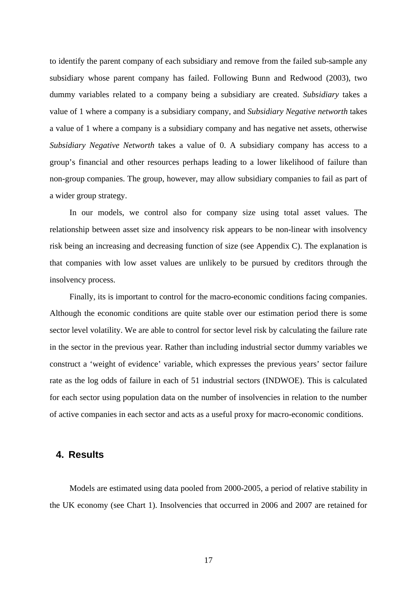to identify the parent company of each subsidiary and remove from the failed sub-sample any subsidiary whose parent company has failed. Following Bunn and Redwood (2003), two dummy variables related to a company being a subsidiary are created. *Subsidiary* takes a value of 1 where a company is a subsidiary company, and *Subsidiary Negative networth* takes a value of 1 where a company is a subsidiary company and has negative net assets, otherwise *Subsidiary Negative Networth* takes a value of 0. A subsidiary company has access to a group's financial and other resources perhaps leading to a lower likelihood of failure than non-group companies. The group, however, may allow subsidiary companies to fail as part of a wider group strategy.

In our models, we control also for company size using total asset values. The relationship between asset size and insolvency risk appears to be non-linear with insolvency risk being an increasing and decreasing function of size (see Appendix C). The explanation is that companies with low asset values are unlikely to be pursued by creditors through the insolvency process.

Finally, its is important to control for the macro-economic conditions facing companies. Although the economic conditions are quite stable over our estimation period there is some sector level volatility. We are able to control for sector level risk by calculating the failure rate in the sector in the previous year. Rather than including industrial sector dummy variables we construct a 'weight of evidence' variable, which expresses the previous years' sector failure rate as the log odds of failure in each of 51 industrial sectors (INDWOE). This is calculated for each sector using population data on the number of insolvencies in relation to the number of active companies in each sector and acts as a useful proxy for macro-economic conditions.

#### **4. Results**

Models are estimated using data pooled from 2000-2005, a period of relative stability in the UK economy (see Chart 1). Insolvencies that occurred in 2006 and 2007 are retained for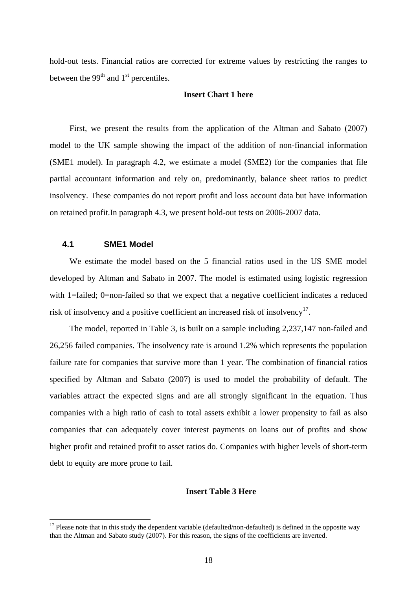hold-out tests. Financial ratios are corrected for extreme values by restricting the ranges to between the  $99<sup>th</sup>$  and  $1<sup>st</sup>$  percentiles.

#### **Insert Chart 1 here**

First, we present the results from the application of the Altman and Sabato (2007) model to the UK sample showing the impact of the addition of non-financial information (SME1 model). In paragraph 4.2, we estimate a model (SME2) for the companies that file partial accountant information and rely on, predominantly, balance sheet ratios to predict insolvency. These companies do not report profit and loss account data but have information on retained profit.In paragraph 4.3, we present hold-out tests on 2006-2007 data.

#### **4.1 SME1 Model**

<u>.</u>

We estimate the model based on the 5 financial ratios used in the US SME model developed by Altman and Sabato in 2007. The model is estimated using logistic regression with 1=failed; 0=non-failed so that we expect that a negative coefficient indicates a reduced risk of insolvency and a positive coefficient an increased risk of insolvency<sup>17</sup>.

The model, reported in Table 3, is built on a sample including 2,237,147 non-failed and 26,256 failed companies. The insolvency rate is around 1.2% which represents the population failure rate for companies that survive more than 1 year. The combination of financial ratios specified by Altman and Sabato (2007) is used to model the probability of default. The variables attract the expected signs and are all strongly significant in the equation. Thus companies with a high ratio of cash to total assets exhibit a lower propensity to fail as also companies that can adequately cover interest payments on loans out of profits and show higher profit and retained profit to asset ratios do. Companies with higher levels of short-term debt to equity are more prone to fail.

#### **Insert Table 3 Here**

 $17$  Please note that in this study the dependent variable (defaulted/non-defaulted) is defined in the opposite way than the Altman and Sabato study (2007). For this reason, the signs of the coefficients are inverted.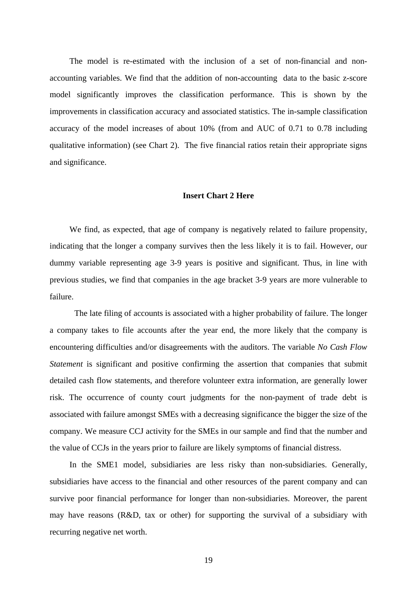The model is re-estimated with the inclusion of a set of non-financial and nonaccounting variables. We find that the addition of non-accounting data to the basic z-score model significantly improves the classification performance. This is shown by the improvements in classification accuracy and associated statistics. The in-sample classification accuracy of the model increases of about 10% (from and AUC of 0.71 to 0.78 including qualitative information) (see Chart 2). The five financial ratios retain their appropriate signs and significance.

#### **Insert Chart 2 Here**

We find, as expected, that age of company is negatively related to failure propensity, indicating that the longer a company survives then the less likely it is to fail. However, our dummy variable representing age 3-9 years is positive and significant. Thus, in line with previous studies, we find that companies in the age bracket 3-9 years are more vulnerable to failure.

 The late filing of accounts is associated with a higher probability of failure. The longer a company takes to file accounts after the year end, the more likely that the company is encountering difficulties and/or disagreements with the auditors. The variable *No Cash Flow Statement* is significant and positive confirming the assertion that companies that submit detailed cash flow statements, and therefore volunteer extra information, are generally lower risk. The occurrence of county court judgments for the non-payment of trade debt is associated with failure amongst SMEs with a decreasing significance the bigger the size of the company. We measure CCJ activity for the SMEs in our sample and find that the number and the value of CCJs in the years prior to failure are likely symptoms of financial distress.

In the SME1 model, subsidiaries are less risky than non-subsidiaries. Generally, subsidiaries have access to the financial and other resources of the parent company and can survive poor financial performance for longer than non-subsidiaries. Moreover, the parent may have reasons (R&D, tax or other) for supporting the survival of a subsidiary with recurring negative net worth.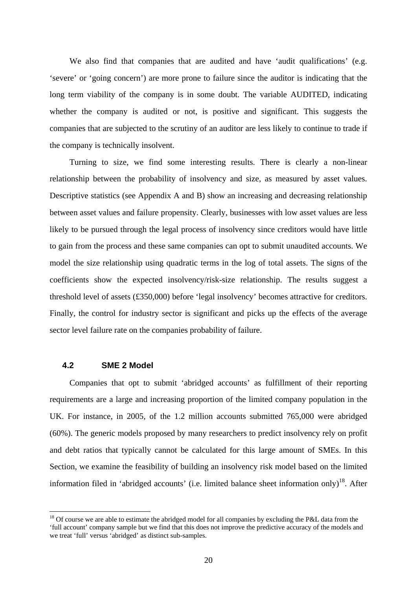We also find that companies that are audited and have 'audit qualifications' (e.g. 'severe' or 'going concern') are more prone to failure since the auditor is indicating that the long term viability of the company is in some doubt. The variable AUDITED, indicating whether the company is audited or not, is positive and significant. This suggests the companies that are subjected to the scrutiny of an auditor are less likely to continue to trade if the company is technically insolvent.

Turning to size, we find some interesting results. There is clearly a non-linear relationship between the probability of insolvency and size, as measured by asset values. Descriptive statistics (see Appendix A and B) show an increasing and decreasing relationship between asset values and failure propensity. Clearly, businesses with low asset values are less likely to be pursued through the legal process of insolvency since creditors would have little to gain from the process and these same companies can opt to submit unaudited accounts. We model the size relationship using quadratic terms in the log of total assets. The signs of the coefficients show the expected insolvency/risk-size relationship. The results suggest a threshold level of assets (£350,000) before 'legal insolvency' becomes attractive for creditors. Finally, the control for industry sector is significant and picks up the effects of the average sector level failure rate on the companies probability of failure.

#### **4.2 SME 2 Model**

1

Companies that opt to submit 'abridged accounts' as fulfillment of their reporting requirements are a large and increasing proportion of the limited company population in the UK. For instance, in 2005, of the 1.2 million accounts submitted 765,000 were abridged (60%). The generic models proposed by many researchers to predict insolvency rely on profit and debt ratios that typically cannot be calculated for this large amount of SMEs. In this Section, we examine the feasibility of building an insolvency risk model based on the limited information filed in 'abridged accounts' (i.e. limited balance sheet information only)<sup>18</sup>. After

<sup>&</sup>lt;sup>18</sup> Of course we are able to estimate the abridged model for all companies by excluding the P&L data from the 'full account' company sample but we find that this does not improve the predictive accuracy of the models and we treat 'full' versus 'abridged' as distinct sub-samples.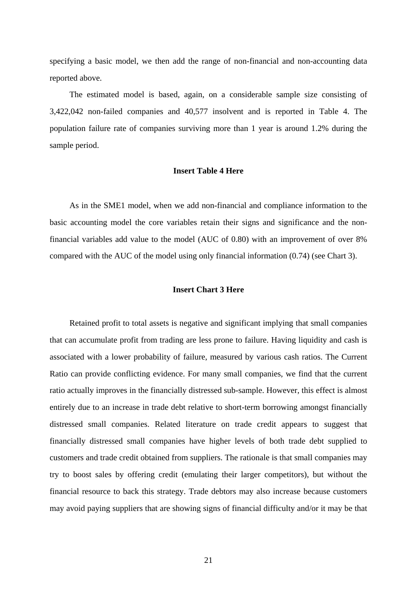specifying a basic model, we then add the range of non-financial and non-accounting data reported above.

The estimated model is based, again, on a considerable sample size consisting of 3,422,042 non-failed companies and 40,577 insolvent and is reported in Table 4. The population failure rate of companies surviving more than 1 year is around 1.2% during the sample period.

#### **Insert Table 4 Here**

As in the SME1 model, when we add non-financial and compliance information to the basic accounting model the core variables retain their signs and significance and the nonfinancial variables add value to the model (AUC of 0.80) with an improvement of over 8% compared with the AUC of the model using only financial information (0.74) (see Chart 3).

#### **Insert Chart 3 Here**

Retained profit to total assets is negative and significant implying that small companies that can accumulate profit from trading are less prone to failure. Having liquidity and cash is associated with a lower probability of failure, measured by various cash ratios. The Current Ratio can provide conflicting evidence. For many small companies, we find that the current ratio actually improves in the financially distressed sub-sample. However, this effect is almost entirely due to an increase in trade debt relative to short-term borrowing amongst financially distressed small companies. Related literature on trade credit appears to suggest that financially distressed small companies have higher levels of both trade debt supplied to customers and trade credit obtained from suppliers. The rationale is that small companies may try to boost sales by offering credit (emulating their larger competitors), but without the financial resource to back this strategy. Trade debtors may also increase because customers may avoid paying suppliers that are showing signs of financial difficulty and/or it may be that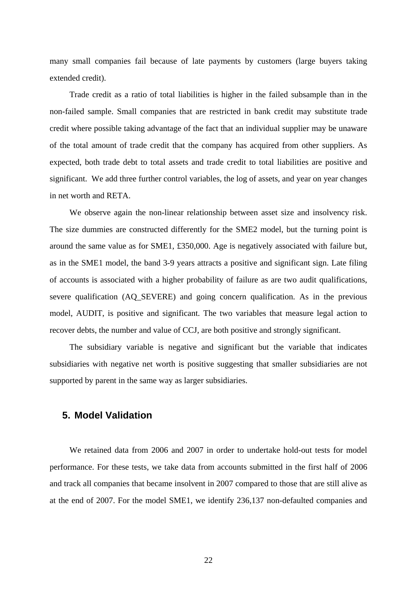many small companies fail because of late payments by customers (large buyers taking extended credit).

Trade credit as a ratio of total liabilities is higher in the failed subsample than in the non-failed sample. Small companies that are restricted in bank credit may substitute trade credit where possible taking advantage of the fact that an individual supplier may be unaware of the total amount of trade credit that the company has acquired from other suppliers. As expected, both trade debt to total assets and trade credit to total liabilities are positive and significant. We add three further control variables, the log of assets, and year on year changes in net worth and RETA.

We observe again the non-linear relationship between asset size and insolvency risk. The size dummies are constructed differently for the SME2 model, but the turning point is around the same value as for SME1, £350,000. Age is negatively associated with failure but, as in the SME1 model, the band 3-9 years attracts a positive and significant sign. Late filing of accounts is associated with a higher probability of failure as are two audit qualifications, severe qualification (AQ\_SEVERE) and going concern qualification. As in the previous model, AUDIT, is positive and significant. The two variables that measure legal action to recover debts, the number and value of CCJ, are both positive and strongly significant.

The subsidiary variable is negative and significant but the variable that indicates subsidiaries with negative net worth is positive suggesting that smaller subsidiaries are not supported by parent in the same way as larger subsidiaries.

## **5. Model Validation**

We retained data from 2006 and 2007 in order to undertake hold-out tests for model performance. For these tests, we take data from accounts submitted in the first half of 2006 and track all companies that became insolvent in 2007 compared to those that are still alive as at the end of 2007. For the model SME1, we identify 236,137 non-defaulted companies and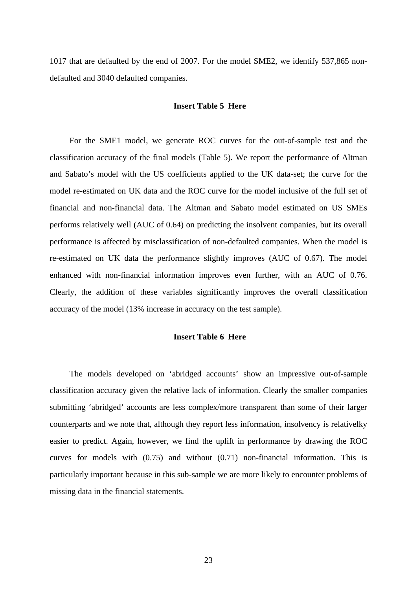1017 that are defaulted by the end of 2007. For the model SME2, we identify 537,865 nondefaulted and 3040 defaulted companies.

#### **Insert Table 5 Here**

For the SME1 model, we generate ROC curves for the out-of-sample test and the classification accuracy of the final models (Table 5). We report the performance of Altman and Sabato's model with the US coefficients applied to the UK data-set; the curve for the model re-estimated on UK data and the ROC curve for the model inclusive of the full set of financial and non-financial data. The Altman and Sabato model estimated on US SMEs performs relatively well (AUC of 0.64) on predicting the insolvent companies, but its overall performance is affected by misclassification of non-defaulted companies. When the model is re-estimated on UK data the performance slightly improves (AUC of 0.67). The model enhanced with non-financial information improves even further, with an AUC of 0.76. Clearly, the addition of these variables significantly improves the overall classification accuracy of the model (13% increase in accuracy on the test sample).

#### **Insert Table 6 Here**

The models developed on 'abridged accounts' show an impressive out-of-sample classification accuracy given the relative lack of information. Clearly the smaller companies submitting 'abridged' accounts are less complex/more transparent than some of their larger counterparts and we note that, although they report less information, insolvency is relativelky easier to predict. Again, however, we find the uplift in performance by drawing the ROC curves for models with (0.75) and without (0.71) non-financial information. This is particularly important because in this sub-sample we are more likely to encounter problems of missing data in the financial statements.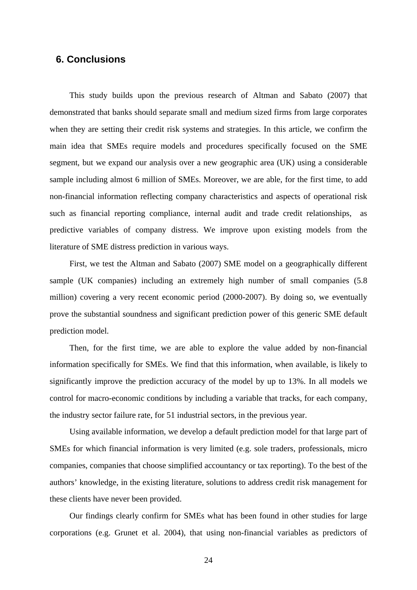# **6. Conclusions**

This study builds upon the previous research of Altman and Sabato (2007) that demonstrated that banks should separate small and medium sized firms from large corporates when they are setting their credit risk systems and strategies. In this article, we confirm the main idea that SMEs require models and procedures specifically focused on the SME segment, but we expand our analysis over a new geographic area (UK) using a considerable sample including almost 6 million of SMEs. Moreover, we are able, for the first time, to add non-financial information reflecting company characteristics and aspects of operational risk such as financial reporting compliance, internal audit and trade credit relationships, as predictive variables of company distress. We improve upon existing models from the literature of SME distress prediction in various ways.

First, we test the Altman and Sabato (2007) SME model on a geographically different sample (UK companies) including an extremely high number of small companies (5.8) million) covering a very recent economic period (2000-2007). By doing so, we eventually prove the substantial soundness and significant prediction power of this generic SME default prediction model.

Then, for the first time, we are able to explore the value added by non-financial information specifically for SMEs. We find that this information, when available, is likely to significantly improve the prediction accuracy of the model by up to 13%. In all models we control for macro-economic conditions by including a variable that tracks, for each company, the industry sector failure rate, for 51 industrial sectors, in the previous year.

Using available information, we develop a default prediction model for that large part of SMEs for which financial information is very limited (e.g. sole traders, professionals, micro companies, companies that choose simplified accountancy or tax reporting). To the best of the authors' knowledge, in the existing literature, solutions to address credit risk management for these clients have never been provided.

Our findings clearly confirm for SMEs what has been found in other studies for large corporations (e.g. Grunet et al. 2004), that using non-financial variables as predictors of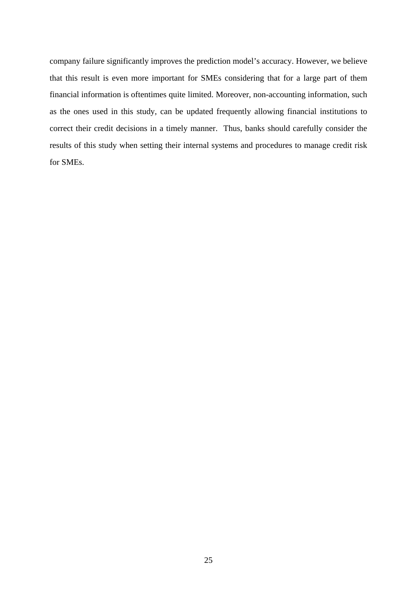company failure significantly improves the prediction model's accuracy. However, we believe that this result is even more important for SMEs considering that for a large part of them financial information is oftentimes quite limited. Moreover, non-accounting information, such as the ones used in this study, can be updated frequently allowing financial institutions to correct their credit decisions in a timely manner. Thus, banks should carefully consider the results of this study when setting their internal systems and procedures to manage credit risk for SMEs.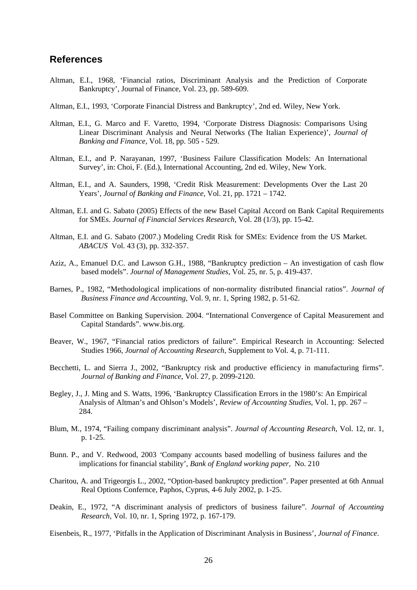## **References**

- Altman, E.I., 1968, 'Financial ratios, Discriminant Analysis and the Prediction of Corporate Bankruptcy', Journal of Finance, Vol. 23, pp. 589-609.
- Altman, E.I., 1993, 'Corporate Financial Distress and Bankruptcy', 2nd ed. Wiley, New York.
- Altman, E.I., G. Marco and F. Varetto, 1994, 'Corporate Distress Diagnosis: Comparisons Using Linear Discriminant Analysis and Neural Networks (The Italian Experience)', *Journal of Banking and Finance,* Vol. 18, pp. 505 - 529.
- Altman, E.I., and P. Narayanan, 1997, 'Business Failure Classification Models: An International Survey', in: Choi, F. (Ed.), International Accounting, 2nd ed. Wiley, New York.
- Altman, E.I., and A. Saunders, 1998, 'Credit Risk Measurement: Developments Over the Last 20 Years', *Journal of Banking and Finance*, Vol. 21, pp. 1721 – 1742.
- Altman, E.I. and G. Sabato (2005) Effects of the new Basel Capital Accord on Bank Capital Requirements for SMEs. *Journal of Financial Services Research,* Vol. 28 (1/3), pp. 15-42.
- Altman, E.I. and G. Sabato (2007.) Modeling Credit Risk for SMEs: Evidence from the US Market. *ABACUS* Vol. 43 (3), pp. 332-357.
- Aziz, A., Emanuel D.C. and Lawson G.H., 1988, "Bankruptcy prediction An investigation of cash flow based models". *Journal of Management Studies*, Vol. 25, nr. 5, p. 419-437.
- Barnes, P., 1982, "Methodological implications of non-normality distributed financial ratios". *Journal of Business Finance and Accounting*, Vol. 9, nr. 1, Spring 1982, p. 51-62.
- Basel Committee on Banking Supervision. 2004. "International Convergence of Capital Measurement and Capital Standards". www.bis.org.
- Beaver, W., 1967, "Financial ratios predictors of failure". Empirical Research in Accounting: Selected Studies 1966, *Journal of Accounting Research*, Supplement to Vol. 4, p. 71-111.
- Becchetti, L. and Sierra J., 2002, "Bankruptcy risk and productive efficiency in manufacturing firms". *Journal of Banking and Finance*, Vol. 27, p. 2099-2120.
- Begley, J., J. Ming and S. Watts, 1996, 'Bankruptcy Classification Errors in the 1980's: An Empirical Analysis of Altman's and Ohlson's Models', *Review of Accounting Studies*, Vol. 1, pp. 267 – 284.
- Blum, M., 1974, "Failing company discriminant analysis". *Journal of Accounting Research*, Vol. 12, nr. 1, p. 1-25.
- Bunn. P., and V. Redwood, 2003 *'*Company accounts based modelling of business failures and the implications for financial stability', *Bank of England working paper,* No. 210
- Charitou, A. and Trigeorgis L., 2002, "Option-based bankruptcy prediction". Paper presented at 6th Annual Real Options Confernce, Paphos, Cyprus, 4-6 July 2002, p. 1-25.
- Deakin, E., 1972, "A discriminant analysis of predictors of business failure". *Journal of Accounting Research*, Vol. 10, nr. 1, Spring 1972, p. 167-179.

Eisenbeis, R., 1977, 'Pitfalls in the Application of Discriminant Analysis in Business', *Journal of Finance*.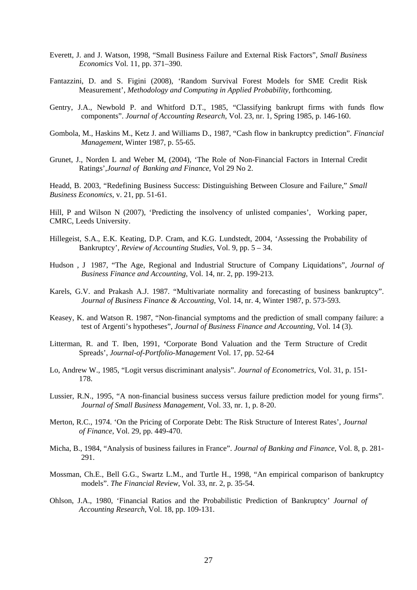- Everett, J. and J. Watson, 1998, "Small Business Failure and External Risk Factors", *Small Business Economics* Vol. 11, pp. 371–390.
- Fantazzini, D. and S. Figini (2008), 'Random Survival Forest Models for SME Credit Risk Measurement', *Methodology and Computing in Applied Probability*, forthcoming.
- Gentry, J.A., Newbold P. and Whitford D.T., 1985, "Classifying bankrupt firms with funds flow components". *Journal of Accounting Research*, Vol. 23, nr. 1, Spring 1985, p. 146-160.
- Gombola, M., Haskins M., Ketz J. and Williams D., 1987, "Cash flow in bankruptcy prediction". *Financial Management*, Winter 1987, p. 55-65.
- Grunet, J., Norden L and Weber M, (2004), 'The Role of Non-Financial Factors in Internal Credit Ratings',*Journal of Banking and Finance*, Vol 29 No 2.

Headd, B. 2003, "Redefining Business Success: Distinguishing Between Closure and Failure," *Small Business Economics*, v. 21, pp. 51-61.

Hill, P and Wilson N (2007), 'Predicting the insolvency of unlisted companies', Working paper, CMRC, Leeds University.

- Hillegeist, S.A., E.K. Keating, D.P. Cram, and K.G. Lundstedt, 2004, 'Assessing the Probability of Bankruptcy', *Review of Accounting Studies*, Vol. 9, pp. 5 – 34.
- Hudson , J 1987, "The Age, Regional and Industrial Structure of Company Liquidations", *Journal of Business Finance and Accounting,* Vol. 14, nr. 2, pp. 199-213.
- Karels, G.V. and Prakash A.J. 1987. "Multivariate normality and forecasting of business bankruptcy". *Journal of Business Finance & Accounting*, Vol. 14, nr. 4, Winter 1987, p. 573-593.
- Keasey, K. and Watson R. 1987, "Non-financial symptoms and the prediction of small company failure: a test of Argenti's hypotheses", *Journal of Business Finance and Accounting*, Vol. 14 (3).
- Litterman, R. and T. Iben, 1991, **'**Corporate Bond Valuation and the Term Structure of Credit Spreads', *Journal-of-Portfolio-Management* Vol. 17, pp. 52-64
- Lo, Andrew W., 1985, "Logit versus discriminant analysis". *Journal of Econometrics*, Vol. 31, p. 151- 178.
- Lussier, R.N., 1995, "A non-financial business success versus failure prediction model for young firms". *Journal of Small Business Management*, Vol. 33, nr. 1, p. 8-20.
- Merton, R.C., 1974. 'On the Pricing of Corporate Debt: The Risk Structure of Interest Rates', *Journal of Finance*, Vol. 29, pp. 449-470.
- Micha, B., 1984, "Analysis of business failures in France". *Journal of Banking and Finance*, Vol. 8, p. 281- 291.
- Mossman, Ch.E., Bell G.G., Swartz L.M., and Turtle H., 1998, "An empirical comparison of bankruptcy models". *The Financial Review*, Vol. 33, nr. 2, p. 35-54.
- Ohlson, J.A., 1980, 'Financial Ratios and the Probabilistic Prediction of Bankruptcy' *Journal of Accounting Research*, Vol. 18, pp. 109-131.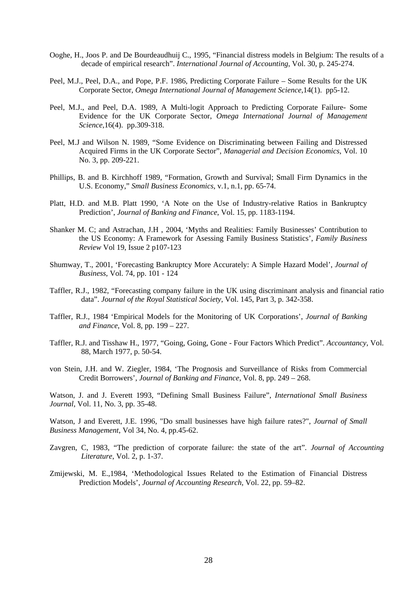- Ooghe, H., Joos P. and De Bourdeaudhuij C., 1995, "Financial distress models in Belgium: The results of a decade of empirical research". *International Journal of Accounting*, Vol. 30, p. 245-274.
- Peel, M.J., Peel, D.A., and Pope, P.F. 1986, Predicting Corporate Failure Some Results for the UK Corporate Sector, *Omega International Journal of Management Science*,14(1). pp5-12.
- Peel, M.J., and Peel, D.A. 1989, A Multi-logit Approach to Predicting Corporate Failure- Some Evidence for the UK Corporate Sector, *Omega International Journal of Management Science*,16(4). pp.309-318.
- Peel, M.J and Wilson N. 1989, "Some Evidence on Discriminating between Failing and Distressed Acquired Firms in the UK Corporate Sector", *Managerial and Decision Economics*, Vol. 10 No. 3, pp. 209-221.
- Phillips, B. and B. Kirchhoff 1989, "Formation, Growth and Survival; Small Firm Dynamics in the U.S. Economy," *Small Business Economics*, v.1, n.1, pp. 65-74.
- Platt, H.D. and M.B. Platt 1990, 'A Note on the Use of Industry-relative Ratios in Bankruptcy Prediction', *Journal of Banking and Finance*, Vol. 15, pp. 1183-1194.
- Shanker M. C; and Astrachan, J.H , 2004, 'Myths and Realities: Family Businesses' Contribution to the US Economy: A Framework for Asessing Family Business Statistics', *Family Business Review* Vol 19, Issue 2 p107-123
- Shumway, T., 2001, 'Forecasting Bankruptcy More Accurately: A Simple Hazard Model', *Journal of Business*, Vol. 74, pp. 101 - 124
- Taffler, R.J., 1982, "Forecasting company failure in the UK using discriminant analysis and financial ratio data". *Journal of the Royal Statistical Society*, Vol. 145, Part 3, p. 342-358.
- Taffler, R.J., 1984 'Empirical Models for the Monitoring of UK Corporations', *Journal of Banking and Finance*, Vol. 8, pp. 199 – 227.
- Taffler, R.J. and Tisshaw H., 1977, "Going, Going, Gone Four Factors Which Predict". *Accountancy*, Vol. 88, March 1977, p. 50-54.
- von Stein, J.H. and W. Ziegler, 1984, 'The Prognosis and Surveillance of Risks from Commercial Credit Borrowers', *Journal of Banking and Finance*, Vol. 8, pp. 249 – 268.

Watson, J. and J. Everett 1993, "Defining Small Business Failure", *International Small Business Journal*, Vol. 11, No. 3, pp. 35-48.

Watson, J and Everett, J.E. 1996, "Do small businesses have high failure rates?", *Journal of Small Business Management*, Vol 34, No. 4, pp.45-62.

- Zavgren, C, 1983, "The prediction of corporate failure: the state of the art". *Journal of Accounting Literature*, Vol. 2, p. 1-37.
- Zmijewski, M. E.,1984, 'Methodological Issues Related to the Estimation of Financial Distress Prediction Models', *Journal of Accounting Research,* Vol. 22, pp. 59–82.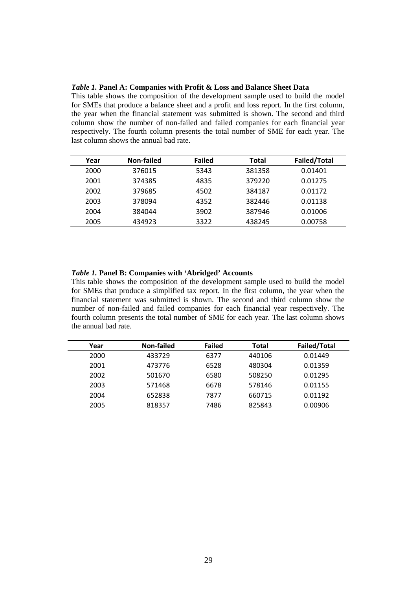|  |  |  | <i>Table 1.</i> Panel A: Companies with Profit & Loss and Balance Sheet Data |  |
|--|--|--|------------------------------------------------------------------------------|--|
|--|--|--|------------------------------------------------------------------------------|--|

This table shows the composition of the development sample used to build the model for SMEs that produce a balance sheet and a profit and loss report. In the first column, the year when the financial statement was submitted is shown. The second and third column show the number of non-failed and failed companies for each financial year respectively. The fourth column presents the total number of SME for each year. The last column shows the annual bad rate.

| Year | Non-failed | <b>Failed</b> | <b>Total</b> | Failed/Total |
|------|------------|---------------|--------------|--------------|
| 2000 | 376015     | 5343          | 381358       | 0.01401      |
| 2001 | 374385     | 4835          | 379220       | 0.01275      |
| 2002 | 379685     | 4502          | 384187       | 0.01172      |
| 2003 | 378094     | 4352          | 382446       | 0.01138      |
| 2004 | 384044     | 3902          | 387946       | 0.01006      |
| 2005 | 434923     | 3322          | 438245       | 0.00758      |

#### *Table 1.* **Panel B: Companies with 'Abridged' Accounts**

This table shows the composition of the development sample used to build the model for SMEs that produce a simplified tax report. In the first column, the year when the financial statement was submitted is shown. The second and third column show the number of non-failed and failed companies for each financial year respectively. The fourth column presents the total number of SME for each year. The last column shows the annual bad rate.

| Year | Non-failed | <b>Failed</b> | <b>Total</b> | Failed/Total |
|------|------------|---------------|--------------|--------------|
| 2000 | 433729     | 6377          | 440106       | 0.01449      |
| 2001 | 473776     | 6528          | 480304       | 0.01359      |
| 2002 | 501670     | 6580          | 508250       | 0.01295      |
| 2003 | 571468     | 6678          | 578146       | 0.01155      |
| 2004 | 652838     | 7877          | 660715       | 0.01192      |
| 2005 | 818357     | 7486          | 825843       | 0.00906      |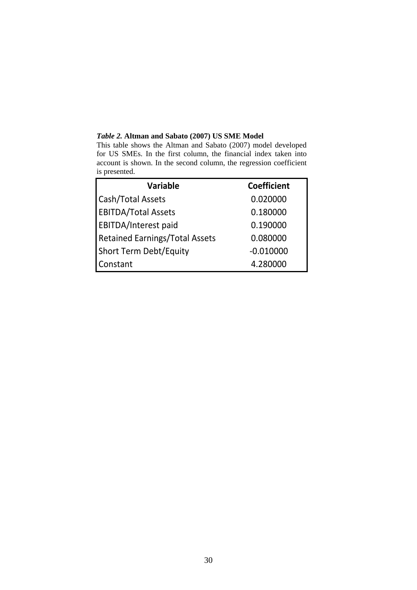#### *Table 2.* **Altman and Sabato (2007) US SME Model**

This table shows the Altman and Sabato (2007) model developed for US SMEs. In the first column, the financial index taken into account is shown. In the second column, the regression coefficient is presented.

| <b>Variable</b>                       | <b>Coefficient</b> |
|---------------------------------------|--------------------|
| Cash/Total Assets                     | 0.020000           |
| <b>EBITDA/Total Assets</b>            | 0.180000           |
| EBITDA/Interest paid                  | 0.190000           |
| <b>Retained Earnings/Total Assets</b> | 0.080000           |
| <b>Short Term Debt/Equity</b>         | $-0.010000$        |
| Constant                              | 4.280000           |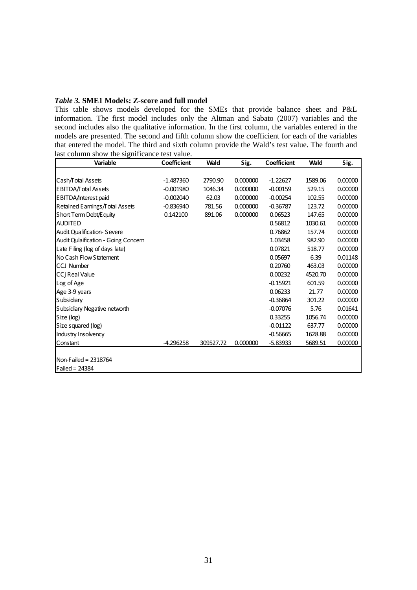#### *Table 3.* **SME1 Models: Z-score and full model**

This table shows models developed for the SMEs that provide balance sheet and P&L information. The first model includes only the Altman and Sabato (2007) variables and the second includes also the qualitative information. In the first column, the variables entered in the models are presented. The second and fifth column show the coefficient for each of the variables that entered the model. The third and sixth column provide the Wald's test value. The fourth and last column show the significance test value.

| Variable                            | <b>Coefficient</b> | Wald      | Sig.     | <b>Coefficient</b> | Wald    | Sig.    |
|-------------------------------------|--------------------|-----------|----------|--------------------|---------|---------|
|                                     |                    |           |          |                    |         |         |
| Cash/Total Assets                   | $-1.487360$        | 2790.90   | 0.000000 | $-1.22627$         | 1589.06 | 0.00000 |
| <b>EBITDA/Total Assets</b>          | $-0.001980$        | 1046.34   | 0.000000 | $-0.00159$         | 529.15  | 0.00000 |
| EBITDA/Interest paid                | $-0.002040$        | 62.03     | 0.000000 | $-0.00254$         | 102.55  | 0.00000 |
| Retained Earnings/Total Assets      | $-0.836940$        | 781.56    | 0.000000 | $-0.36787$         | 123.72  | 0.00000 |
| S hort Term Debt/E quity            | 0.142100           | 891.06    | 0.000000 | 0.06523            | 147.65  | 0.00000 |
| <b>AUDITED</b>                      |                    |           |          | 0.56812            | 1030.61 | 0.00000 |
| <b>Audit Qualification- Severe</b>  |                    |           |          | 0.76862            | 157.74  | 0.00000 |
| Audit Qulaification - Going Concern |                    |           |          | 1.03458            | 982.90  | 0.00000 |
| Late Filing (log of days late)      |                    |           |          | 0.07821            | 518.77  | 0.00000 |
| No Cash Flow Statement              |                    |           |          | 0.05697            | 6.39    | 0.01148 |
| <b>CCJ Number</b>                   |                    |           |          | 0.20760            | 463.03  | 0.00000 |
| CCj Real Value                      |                    |           |          | 0.00232            | 4520.70 | 0.00000 |
| Log of Age                          |                    |           |          | $-0.15921$         | 601.59  | 0.00000 |
| Age 3-9 years                       |                    |           |          | 0.06233            | 21.77   | 0.00000 |
| Subsidiary                          |                    |           |          | $-0.36864$         | 301.22  | 0.00000 |
| Subsidiary Negative networth        |                    |           |          | $-0.07076$         | 5.76    | 0.01641 |
| Size (log)                          |                    |           |          | 0.33255            | 1056.74 | 0.00000 |
| Size squared (log)                  |                    |           |          | $-0.01122$         | 637.77  | 0.00000 |
| Industry Insolvency                 |                    |           |          | $-0.56665$         | 1628.88 | 0.00000 |
| Constant                            | $-4.296258$        | 309527.72 | 0.000000 | $-5.83933$         | 5689.51 | 0.00000 |
|                                     |                    |           |          |                    |         |         |
| Non-Failed = $2318764$              |                    |           |          |                    |         |         |
| $Failed = 24384$                    |                    |           |          |                    |         |         |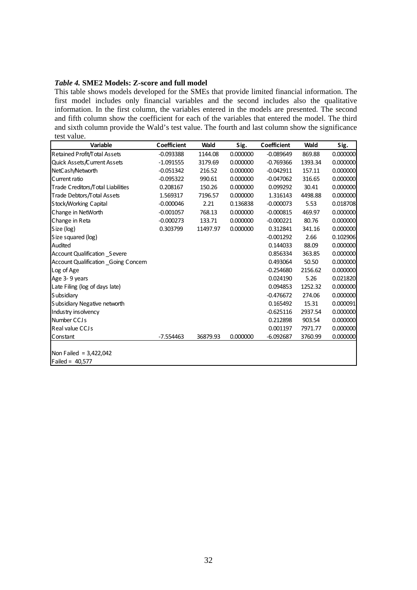#### *Table 4.* **SME2 Models: Z-score and full model**

This table shows models developed for the SMEs that provide limited financial information. The first model includes only financial variables and the second includes also the qualitative information. In the first column, the variables entered in the models are presented. The second and fifth column show the coefficient for each of the variables that entered the model. The third and sixth column provide the Wald's test value. The fourth and last column show the significance test value.

| <b>Variable</b>                      | <b>Coefficient</b> | Wald     | Sig.     | <b>Coefficient</b> | Wald    | Sig.     |
|--------------------------------------|--------------------|----------|----------|--------------------|---------|----------|
| Retained Profit/Total Assets         | $-0.093388$        | 1144.08  | 0.000000 | $-0.089649$        | 869.88  | 0.000000 |
| Quick Assets/Current Assets          | $-1.091555$        | 3179.69  | 0.000000 | $-0.769366$        | 1393.34 | 0.000000 |
| NetCash/Networth                     | $-0.051342$        | 216.52   | 0.000000 | $-0.042911$        | 157.11  | 0.000000 |
| Current ratio                        | $-0.095322$        | 990.61   | 0.000000 | $-0.047062$        | 316.65  | 0.000000 |
| Trade Creditors/Total Liabilities    | 0.208167           | 150.26   | 0.000000 | 0.099292           | 30.41   | 0.000000 |
| Trade Debtors/Total Assets           | 1.569317           | 7196.57  | 0.000000 | 1.316143           | 4498.88 | 0.000000 |
| Stock/Working Capital                | $-0.000046$        | 2.21     | 0.136838 | $-0.000073$        | 5.53    | 0.018708 |
| Change in NetWorth                   | $-0.001057$        | 768.13   | 0.000000 | $-0.000815$        | 469.97  | 0.000000 |
| Change in Reta                       | $-0.000273$        | 133.71   | 0.000000 | $-0.000221$        | 80.76   | 0.000000 |
| Size (log)                           | 0.303799           | 11497.97 | 0.000000 | 0.312841           | 341.16  | 0.000000 |
| Size squared (log)                   |                    |          |          | $-0.001292$        | 2.66    | 0.102906 |
| Audited                              |                    |          |          | 0.144033           | 88.09   | 0.000000 |
| <b>Account Qualification Severe</b>  |                    |          |          | 0.856334           | 363.85  | 0.000000 |
| Account Qualification _Going Concern |                    |          |          | 0.493064           | 50.50   | 0.000000 |
| Log of Age                           |                    |          |          | $-0.254680$        | 2156.62 | 0.000000 |
| Age 3-9 years                        |                    |          |          | 0.024190           | 5.26    | 0.021820 |
| Late Filing (log of days late)       |                    |          |          | 0.094853           | 1252.32 | 0.000000 |
| Subsidiary                           |                    |          |          | $-0.476672$        | 274.06  | 0.000000 |
| Subsidiary Negative networth         |                    |          |          | 0.165492           | 15.31   | 0.000091 |
| Industry insolvency                  |                    |          |          | $-0.625116$        | 2937.54 | 0.000000 |
| Number CCJ s                         |                    |          |          | 0.212898           | 903.54  | 0.000000 |
| Real value CCJs                      |                    |          |          | 0.001197           | 7971.77 | 0.000000 |
| Constant                             | $-7.554463$        | 36879.93 | 0.000000 | $-6.092687$        | 3760.99 | 0.000000 |
|                                      |                    |          |          |                    |         |          |
| Non Failed = $3,422,042$             |                    |          |          |                    |         |          |
| Failed = $40,577$                    |                    |          |          |                    |         |          |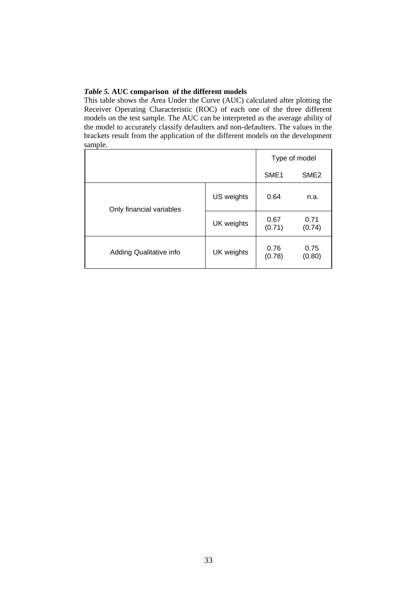#### *Table 5.* **AUC comparison of the different models**

This table shows the Area Under the Curve (AUC) calculated after plotting the Receiver Operating Characteristic (ROC) of each one of the three different models on the test sample. The AUC can be interpreted as the average ability of the model to accurately classify defaulters and non-defaulters. The values in the brackets result from the application of the different models on the development sample.

|                          |            |                  | Type of model    |
|--------------------------|------------|------------------|------------------|
|                          |            | SME <sub>1</sub> | SME <sub>2</sub> |
| Only financial variables | US weights |                  | n.a.             |
|                          | UK weights | 0.67<br>(0.71)   | 0.71<br>(0.74)   |
| Adding Qualitative info  | UK weights | 0.76<br>(0.78)   | 0.75<br>(0.80)   |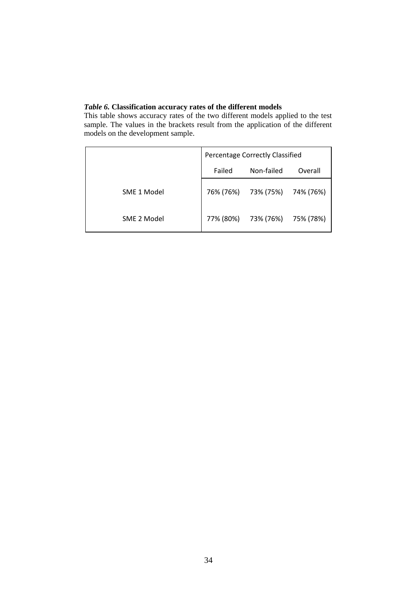#### *Table 6.* **Classification accuracy rates of the different models**

This table shows accuracy rates of the two different models applied to the test sample. The values in the brackets result from the application of the different models on the development sample.

|             | Percentage Correctly Classified |                     |           |  |
|-------------|---------------------------------|---------------------|-----------|--|
|             | Non-failed<br>Failed<br>Overall |                     |           |  |
| SME 1 Model |                                 | 76% (76%) 73% (75%) | 74% (76%) |  |
| SME 2 Model | 77% (80%)                       | 73% (76%)           | 75% (78%) |  |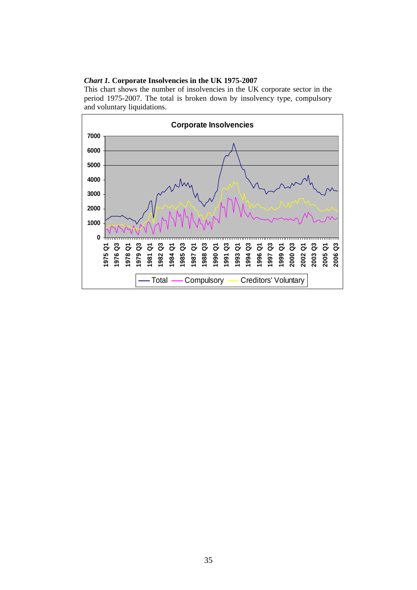#### *Chart 1.* **Corporate Insolvencies in the UK 1975-2007**

This chart shows the number of insolvencies in the UK corporate sector in the period 1975-2007. The total is broken down by insolvency type, compulsory and voluntary liquidations.

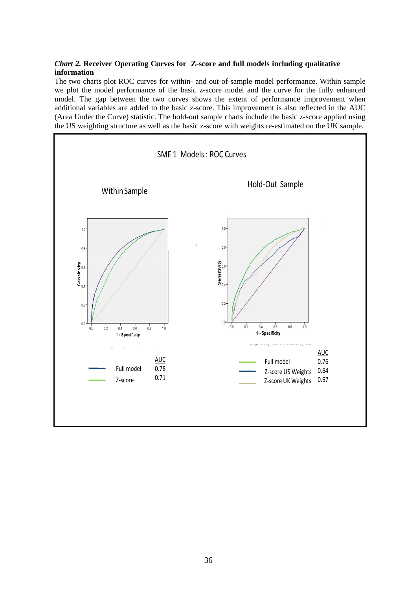#### *Chart 2.* **Receiver Operating Curves for Z-score and full models including qualitative information**

The two charts plot ROC curves for within- and out-of-sample model performance. Within sample we plot the model performance of the basic z-score model and the curve for the fully enhanced model. The gap between the two curves shows the extent of performance improvement when additional variables are added to the basic z-score. This improvement is also reflected in the AUC (Area Under the Curve) statistic. The hold-out sample charts include the basic z-score applied using the US weighting structure as well as the basic z-score with weights re-estimated on the UK sample.

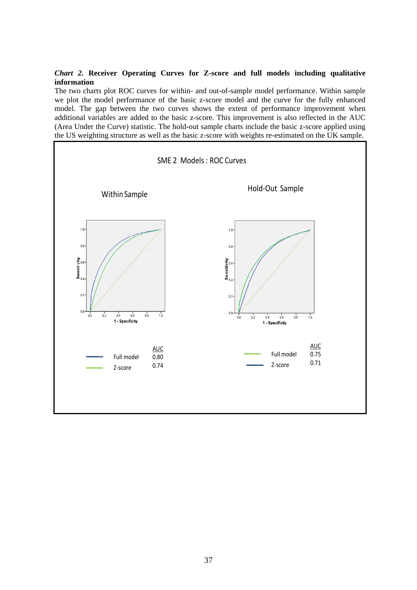#### *Chart 2.* **Receiver Operating Curves for Z-score and full models including qualitative information**

The two charts plot ROC curves for within- and out-of-sample model performance. Within sample we plot the model performance of the basic z-score model and the curve for the fully enhanced model. The gap between the two curves shows the extent of performance improvement when additional variables are added to the basic z-score. This improvement is also reflected in the AUC (Area Under the Curve) statistic. The hold-out sample charts include the basic z-score applied using the US weighting structure as well as the basic z-score with weights re-estimated on the UK sample.

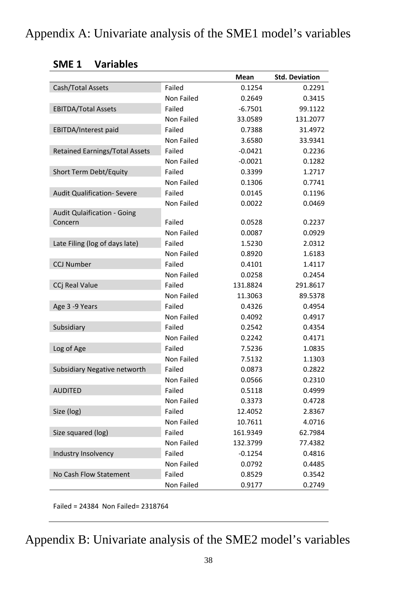|                                       |                   | Mean      | <b>Std. Deviation</b> |
|---------------------------------------|-------------------|-----------|-----------------------|
| Cash/Total Assets                     | Failed            | 0.1254    | 0.2291                |
|                                       | Non Failed        | 0.2649    | 0.3415                |
| <b>EBITDA/Total Assets</b>            | Failed            | $-6.7501$ | 99.1122               |
|                                       | Non Failed        | 33.0589   | 131.2077              |
| EBITDA/Interest paid                  | Failed            | 0.7388    | 31.4972               |
|                                       | Non Failed        | 3.6580    | 33.9341               |
| <b>Retained Earnings/Total Assets</b> | Failed            | $-0.0421$ | 0.2236                |
|                                       | <b>Non Failed</b> | $-0.0021$ | 0.1282                |
| Short Term Debt/Equity                | Failed            | 0.3399    | 1.2717                |
|                                       | Non Failed        | 0.1306    | 0.7741                |
| <b>Audit Qualification- Severe</b>    | Failed            | 0.0145    | 0.1196                |
|                                       | Non Failed        | 0.0022    | 0.0469                |
| <b>Audit Qulaification - Going</b>    |                   |           |                       |
| Concern                               | Failed            | 0.0528    | 0.2237                |
|                                       | Non Failed        | 0.0087    | 0.0929                |
| Late Filing (log of days late)        | Failed            | 1.5230    | 2.0312                |
|                                       | Non Failed        | 0.8920    | 1.6183                |
| <b>CCJ Number</b>                     | Failed            | 0.4101    | 1.4117                |
|                                       | Non Failed        | 0.0258    | 0.2454                |
| CCj Real Value                        | Failed            | 131.8824  | 291.8617              |
|                                       | Non Failed        | 11.3063   | 89.5378               |
| Age 3 -9 Years                        | Failed            | 0.4326    | 0.4954                |
|                                       | Non Failed        | 0.4092    | 0.4917                |
| Subsidiary                            | Failed            | 0.2542    | 0.4354                |
|                                       | Non Failed        | 0.2242    | 0.4171                |
| Log of Age                            | Failed            | 7.5236    | 1.0835                |
|                                       | <b>Non Failed</b> | 7.5132    | 1.1303                |
| Subsidiary Negative networth          | Failed            | 0.0873    | 0.2822                |
|                                       | Non Failed        | 0.0566    | 0.2310                |
| <b>AUDITED</b>                        | Failed            | 0.5118    | 0.4999                |
|                                       | Non Failed        | 0.3373    | 0.4728                |
| Size (log)                            | Failed            | 12.4052   | 2.8367                |
|                                       | Non Failed        | 10.7611   | 4.0716                |
| Size squared (log)                    | Failed            | 161.9349  | 62.7984               |
|                                       | Non Failed        | 132.3799  | 77.4382               |
| Industry Insolvency                   | Failed            | $-0.1254$ | 0.4816                |
|                                       | Non Failed        | 0.0792    | 0.4485                |
| No Cash Flow Statement                | Failed            | 0.8529    | 0.3542                |
|                                       | Non Failed        | 0.9177    | 0.2749                |

# **SME 1 Variables**

Failed = 24384 Non Failed= 2318764

Appendix B: Univariate analysis of the SME2 model's variables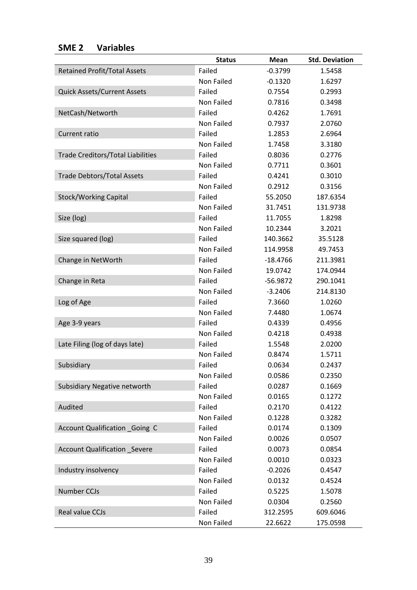|            |                                                                                                                                                                                                                                                                                                                                                 | <b>Std. Deviation</b>                                                                                                                                                                                                                                                      |
|------------|-------------------------------------------------------------------------------------------------------------------------------------------------------------------------------------------------------------------------------------------------------------------------------------------------------------------------------------------------|----------------------------------------------------------------------------------------------------------------------------------------------------------------------------------------------------------------------------------------------------------------------------|
|            |                                                                                                                                                                                                                                                                                                                                                 | 1.5458                                                                                                                                                                                                                                                                     |
|            |                                                                                                                                                                                                                                                                                                                                                 | 1.6297                                                                                                                                                                                                                                                                     |
|            |                                                                                                                                                                                                                                                                                                                                                 | 0.2993                                                                                                                                                                                                                                                                     |
|            |                                                                                                                                                                                                                                                                                                                                                 | 0.3498                                                                                                                                                                                                                                                                     |
|            |                                                                                                                                                                                                                                                                                                                                                 | 1.7691                                                                                                                                                                                                                                                                     |
|            |                                                                                                                                                                                                                                                                                                                                                 | 2.0760                                                                                                                                                                                                                                                                     |
|            |                                                                                                                                                                                                                                                                                                                                                 | 2.6964                                                                                                                                                                                                                                                                     |
|            |                                                                                                                                                                                                                                                                                                                                                 | 3.3180                                                                                                                                                                                                                                                                     |
|            |                                                                                                                                                                                                                                                                                                                                                 |                                                                                                                                                                                                                                                                            |
|            |                                                                                                                                                                                                                                                                                                                                                 | 0.2776                                                                                                                                                                                                                                                                     |
|            |                                                                                                                                                                                                                                                                                                                                                 | 0.3601                                                                                                                                                                                                                                                                     |
|            |                                                                                                                                                                                                                                                                                                                                                 | 0.3010                                                                                                                                                                                                                                                                     |
|            |                                                                                                                                                                                                                                                                                                                                                 | 0.3156                                                                                                                                                                                                                                                                     |
|            |                                                                                                                                                                                                                                                                                                                                                 | 187.6354                                                                                                                                                                                                                                                                   |
|            |                                                                                                                                                                                                                                                                                                                                                 | 131.9738                                                                                                                                                                                                                                                                   |
|            |                                                                                                                                                                                                                                                                                                                                                 | 1.8298                                                                                                                                                                                                                                                                     |
|            |                                                                                                                                                                                                                                                                                                                                                 | 3.2021                                                                                                                                                                                                                                                                     |
|            |                                                                                                                                                                                                                                                                                                                                                 | 35.5128                                                                                                                                                                                                                                                                    |
|            |                                                                                                                                                                                                                                                                                                                                                 | 49.7453                                                                                                                                                                                                                                                                    |
|            |                                                                                                                                                                                                                                                                                                                                                 | 211.3981                                                                                                                                                                                                                                                                   |
|            |                                                                                                                                                                                                                                                                                                                                                 | 174.0944                                                                                                                                                                                                                                                                   |
|            | $-56.9872$                                                                                                                                                                                                                                                                                                                                      | 290.1041                                                                                                                                                                                                                                                                   |
|            | $-3.2406$                                                                                                                                                                                                                                                                                                                                       | 214.8130                                                                                                                                                                                                                                                                   |
|            | 7.3660                                                                                                                                                                                                                                                                                                                                          | 1.0260                                                                                                                                                                                                                                                                     |
| Non Failed | 7.4480                                                                                                                                                                                                                                                                                                                                          | 1.0674                                                                                                                                                                                                                                                                     |
| Failed     | 0.4339                                                                                                                                                                                                                                                                                                                                          | 0.4956                                                                                                                                                                                                                                                                     |
| Non Failed | 0.4218                                                                                                                                                                                                                                                                                                                                          | 0.4938                                                                                                                                                                                                                                                                     |
| Failed     | 1.5548                                                                                                                                                                                                                                                                                                                                          | 2.0200                                                                                                                                                                                                                                                                     |
| Non Failed | 0.8474                                                                                                                                                                                                                                                                                                                                          | 1.5711                                                                                                                                                                                                                                                                     |
| Failed     | 0.0634                                                                                                                                                                                                                                                                                                                                          | 0.2437                                                                                                                                                                                                                                                                     |
| Non Failed | 0.0586                                                                                                                                                                                                                                                                                                                                          | 0.2350                                                                                                                                                                                                                                                                     |
| Failed     | 0.0287                                                                                                                                                                                                                                                                                                                                          | 0.1669                                                                                                                                                                                                                                                                     |
| Non Failed | 0.0165                                                                                                                                                                                                                                                                                                                                          | 0.1272                                                                                                                                                                                                                                                                     |
| Failed     | 0.2170                                                                                                                                                                                                                                                                                                                                          | 0.4122                                                                                                                                                                                                                                                                     |
| Non Failed | 0.1228                                                                                                                                                                                                                                                                                                                                          | 0.3282                                                                                                                                                                                                                                                                     |
| Failed     | 0.0174                                                                                                                                                                                                                                                                                                                                          | 0.1309                                                                                                                                                                                                                                                                     |
| Non Failed | 0.0026                                                                                                                                                                                                                                                                                                                                          | 0.0507                                                                                                                                                                                                                                                                     |
| Failed     | 0.0073                                                                                                                                                                                                                                                                                                                                          | 0.0854                                                                                                                                                                                                                                                                     |
| Non Failed | 0.0010                                                                                                                                                                                                                                                                                                                                          | 0.0323                                                                                                                                                                                                                                                                     |
| Failed     | $-0.2026$                                                                                                                                                                                                                                                                                                                                       | 0.4547                                                                                                                                                                                                                                                                     |
| Non Failed | 0.0132                                                                                                                                                                                                                                                                                                                                          | 0.4524                                                                                                                                                                                                                                                                     |
|            |                                                                                                                                                                                                                                                                                                                                                 | 1.5078                                                                                                                                                                                                                                                                     |
|            |                                                                                                                                                                                                                                                                                                                                                 | 0.2560                                                                                                                                                                                                                                                                     |
|            |                                                                                                                                                                                                                                                                                                                                                 | 609.6046                                                                                                                                                                                                                                                                   |
|            |                                                                                                                                                                                                                                                                                                                                                 | 175.0598                                                                                                                                                                                                                                                                   |
|            | <b>Status</b><br>Failed<br>Non Failed<br>Failed<br>Non Failed<br>Failed<br>Non Failed<br>Failed<br>Non Failed<br>Failed<br>Non Failed<br>Failed<br>Non Failed<br>Failed<br>Non Failed<br>Failed<br>Non Failed<br>Failed<br>Non Failed<br>Failed<br>Non Failed<br>Failed<br>Non Failed<br>Failed<br>Failed<br>Non Failed<br>Failed<br>Non Failed | Mean<br>$-0.3799$<br>$-0.1320$<br>0.7554<br>0.7816<br>0.4262<br>0.7937<br>1.2853<br>1.7458<br>0.8036<br>0.7711<br>0.4241<br>0.2912<br>55.2050<br>31.7451<br>11.7055<br>10.2344<br>140.3662<br>114.9958<br>$-18.4766$<br>19.0742<br>0.5225<br>0.0304<br>312.2595<br>22.6622 |

# **SME 2 Variables**